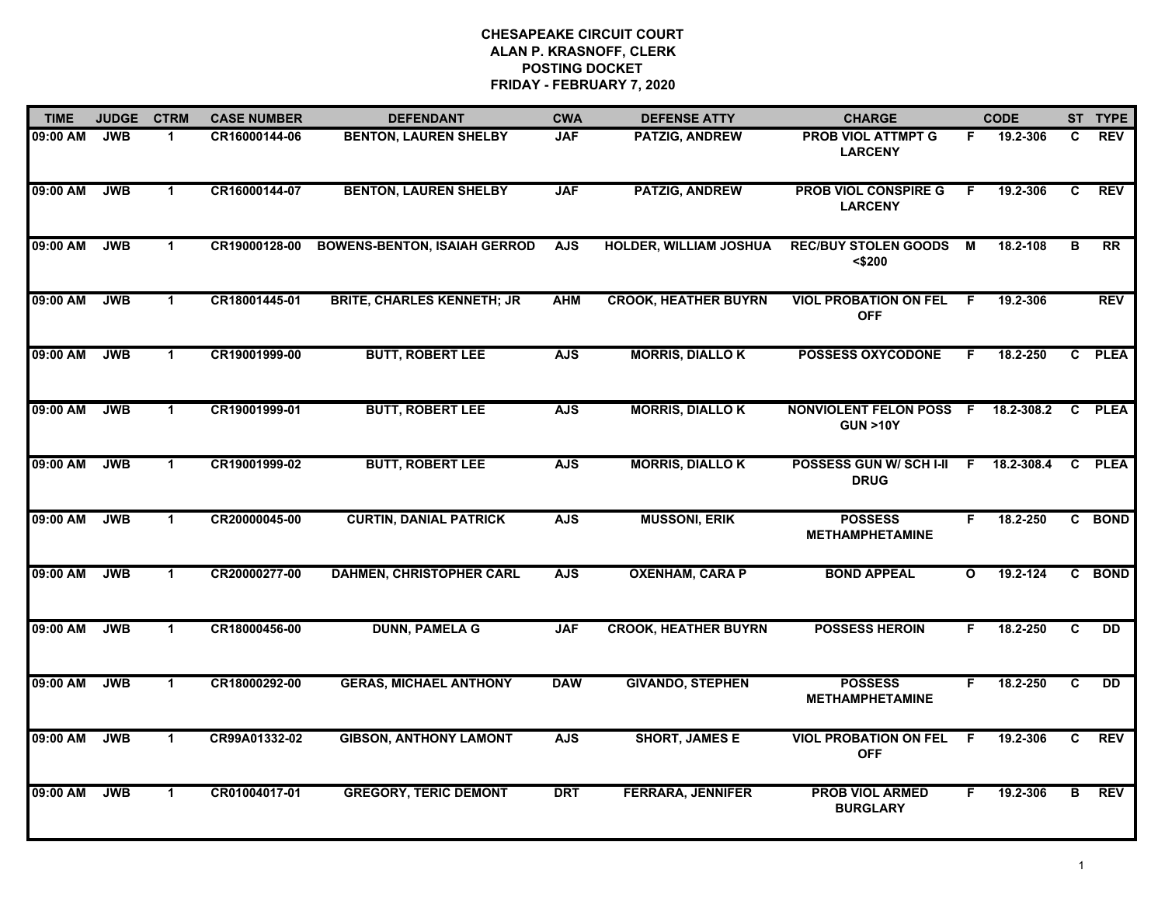| <b>TIME</b> | <b>JUDGE</b> | <b>CTRM</b>          | <b>CASE NUMBER</b> | <b>DEFENDANT</b>                    | <b>CWA</b> | <b>DEFENSE ATTY</b>           | <b>CHARGE</b>                                                   |              | <b>CODE</b>  |    | ST TYPE        |
|-------------|--------------|----------------------|--------------------|-------------------------------------|------------|-------------------------------|-----------------------------------------------------------------|--------------|--------------|----|----------------|
| 09:00 AM    | <b>JWB</b>   | -1                   | CR16000144-06      | <b>BENTON, LAUREN SHELBY</b>        | <b>JAF</b> | <b>PATZIG, ANDREW</b>         | <b>PROB VIOL ATTMPT G</b><br><b>LARCENY</b>                     | F.           | 19.2-306     | C. | <b>REV</b>     |
| 09:00 AM    | <b>JWB</b>   | $\blacktriangleleft$ | CR16000144-07      | <b>BENTON, LAUREN SHELBY</b>        | <b>JAF</b> | <b>PATZIG, ANDREW</b>         | <b>PROB VIOL CONSPIRE G</b><br><b>LARCENY</b>                   | F.           | 19.2-306     | C  | <b>REV</b>     |
| 09:00 AM    | <b>JWB</b>   | $\blacktriangleleft$ | CR19000128-00      | <b>BOWENS-BENTON, ISAIAH GERROD</b> | <b>AJS</b> | <b>HOLDER, WILLIAM JOSHUA</b> | <b>REC/BUY STOLEN GOODS</b><br>$<$ \$200                        | м            | 18.2-108     | в  | RR             |
| 09:00 AM    | <b>JWB</b>   | $\mathbf 1$          | CR18001445-01      | <b>BRITE, CHARLES KENNETH; JR</b>   | <b>AHM</b> | <b>CROOK, HEATHER BUYRN</b>   | <b>VIOL PROBATION ON FEL</b><br><b>OFF</b>                      | - F          | 19.2-306     |    | <b>REV</b>     |
| 09:00 AM    | <b>JWB</b>   | $\blacktriangleleft$ | CR19001999-00      | <b>BUTT, ROBERT LEE</b>             | <b>AJS</b> | <b>MORRIS, DIALLO K</b>       | <b>POSSESS OXYCODONE</b>                                        | F.           | 18.2-250     |    | C PLEA         |
| 09:00 AM    | <b>JWB</b>   | $\mathbf{1}$         | CR19001999-01      | <b>BUTT, ROBERT LEE</b>             | <b>AJS</b> | <b>MORRIS, DIALLOK</b>        | NONVIOLENT FELON POSS F 18.2-308.2 C PLEA<br><b>GUN &gt;10Y</b> |              |              |    |                |
| 09:00 AM    | <b>JWB</b>   | $\mathbf{1}$         | CR19001999-02      | <b>BUTT, ROBERT LEE</b>             | <b>AJS</b> | <b>MORRIS, DIALLOK</b>        | POSSESS GUN W/SCHI-II F 18.2-308.4<br><b>DRUG</b>               |              |              |    | C PLEA         |
| 09:00 AM    | <b>JWB</b>   | $\mathbf 1$          | CR20000045-00      | <b>CURTIN, DANIAL PATRICK</b>       | <b>AJS</b> | <b>MUSSONI, ERIK</b>          | <b>POSSESS</b><br><b>METHAMPHETAMINE</b>                        | F            | 18.2-250     |    | C BOND         |
| 09:00 AM    | <b>JWB</b>   | $\mathbf 1$          | CR20000277-00      | <b>DAHMEN, CHRISTOPHER CARL</b>     | <b>AJS</b> | <b>OXENHAM, CARA P</b>        | <b>BOND APPEAL</b>                                              | $\mathbf{o}$ | $19.2 - 124$ |    | C BOND         |
| 09:00 AM    | <b>JWB</b>   | $\mathbf{1}$         | CR18000456-00      | <b>DUNN, PAMELA G</b>               | <b>JAF</b> | <b>CROOK, HEATHER BUYRN</b>   | <b>POSSESS HEROIN</b>                                           | F.           | 18.2-250     | C  | <b>DD</b>      |
| 09:00 AM    | <b>JWB</b>   | $\mathbf 1$          | CR18000292-00      | <b>GERAS, MICHAEL ANTHONY</b>       | <b>DAW</b> | <b>GIVANDO, STEPHEN</b>       | <b>POSSESS</b><br><b>METHAMPHETAMINE</b>                        | F.           | 18.2-250     | C  | $\overline{D}$ |
| 09:00 AM    | <b>JWB</b>   | $\mathbf{1}$         | CR99A01332-02      | <b>GIBSON, ANTHONY LAMONT</b>       | <b>AJS</b> | <b>SHORT, JAMES E</b>         | <b>VIOL PROBATION ON FEL</b><br><b>OFF</b>                      | F.           | 19.2-306     | C. | <b>REV</b>     |
| 09:00 AM    | <b>JWB</b>   | $\mathbf 1$          | CR01004017-01      | <b>GREGORY, TERIC DEMONT</b>        | <b>DRT</b> | <b>FERRARA, JENNIFER</b>      | <b>PROB VIOL ARMED</b><br><b>BURGLARY</b>                       | F.           | 19.2-306     | в  | <b>REV</b>     |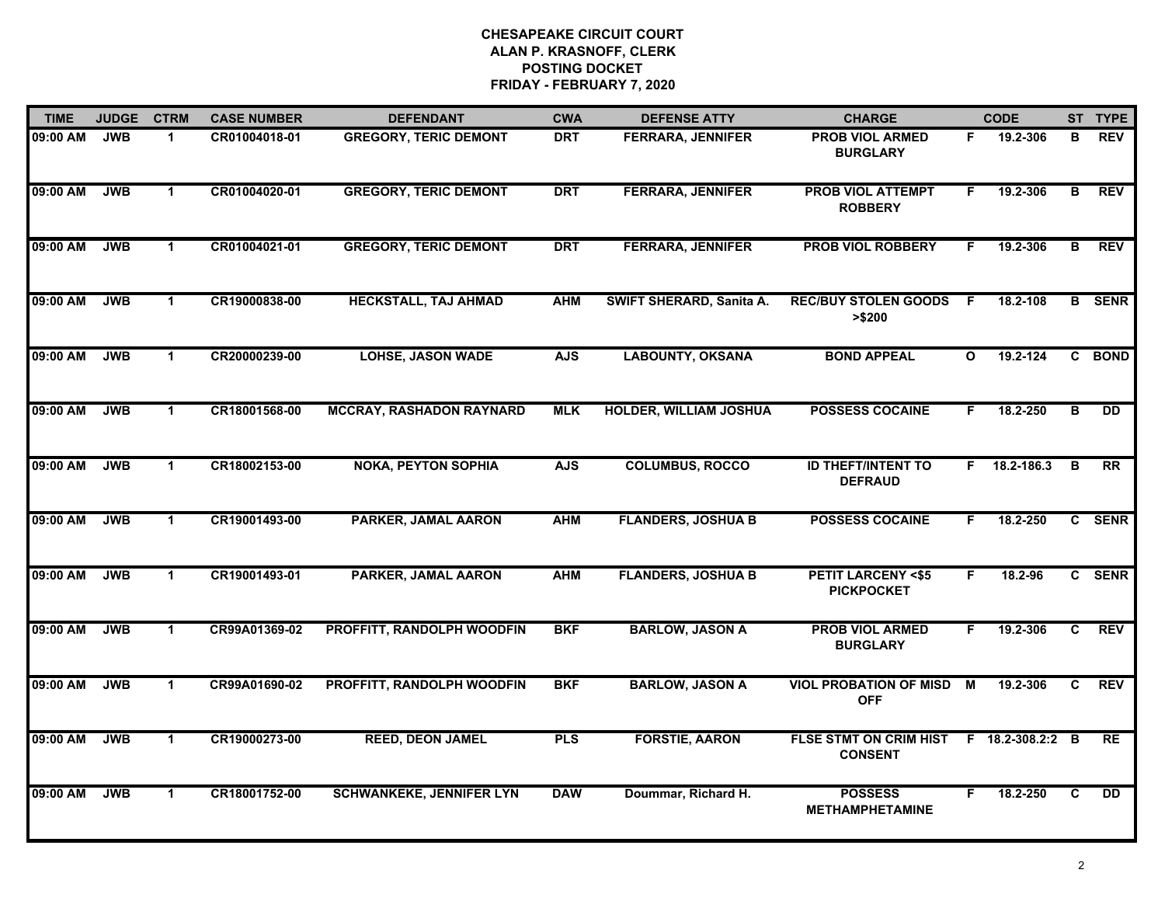| <b>TIME</b> | <b>JUDGE</b> | <b>CTRM</b>          | <b>CASE NUMBER</b> | <b>DEFENDANT</b>                  | <b>CWA</b> | <b>DEFENSE ATTY</b>           | <b>CHARGE</b>                                     |              | <b>CODE</b>      |                | ST TYPE       |
|-------------|--------------|----------------------|--------------------|-----------------------------------|------------|-------------------------------|---------------------------------------------------|--------------|------------------|----------------|---------------|
| 09:00 AM    | <b>JWB</b>   | $\mathbf{1}$         | CR01004018-01      | <b>GREGORY, TERIC DEMONT</b>      | <b>DRT</b> | <b>FERRARA, JENNIFER</b>      | <b>PROB VIOL ARMED</b><br><b>BURGLARY</b>         | F.           | 19.2-306         | в              | <b>REV</b>    |
| 09:00 AM    | <b>JWB</b>   | $\mathbf 1$          | CR01004020-01      | <b>GREGORY, TERIC DEMONT</b>      | <b>DRT</b> | <b>FERRARA, JENNIFER</b>      | <b>PROB VIOL ATTEMPT</b><br><b>ROBBERY</b>        | F.           | 19.2-306         | в              | <b>REV</b>    |
| 09:00 AM    | <b>JWB</b>   | $\blacktriangleleft$ | CR01004021-01      | <b>GREGORY, TERIC DEMONT</b>      | <b>DRT</b> | <b>FERRARA, JENNIFER</b>      | <b>PROB VIOL ROBBERY</b>                          | F.           | 19.2-306         | В              | <b>REV</b>    |
| 09:00 AM    | <b>JWB</b>   | $\mathbf 1$          | CR19000838-00      | HECKSTALL, TAJ AHMAD              | <b>AHM</b> | SWIFT SHERARD, Sanita A.      | <b>REC/BUY STOLEN GOODS</b><br>> \$200            | - F          | 18.2-108         |                | <b>B</b> SENR |
| 09:00 AM    | <b>JWB</b>   | $\mathbf 1$          | CR20000239-00      | <b>LOHSE, JASON WADE</b>          | <b>AJS</b> | <b>LABOUNTY, OKSANA</b>       | <b>BOND APPEAL</b>                                | $\mathbf{o}$ | 19.2-124         |                | C BOND        |
| 09:00 AM    | <b>JWB</b>   | $\mathbf{1}$         | CR18001568-00      | <b>MCCRAY, RASHADON RAYNARD</b>   | <b>MLK</b> | <b>HOLDER, WILLIAM JOSHUA</b> | <b>POSSESS COCAINE</b>                            | F.           | 18.2-250         | в              | <b>DD</b>     |
| 09:00 AM    | <b>JWB</b>   | $\mathbf{1}$         | CR18002153-00      | <b>NOKA, PEYTON SOPHIA</b>        | <b>AJS</b> | <b>COLUMBUS, ROCCO</b>        | <b>ID THEFT/INTENT TO</b><br><b>DEFRAUD</b>       | F.           | 18.2-186.3       | В              | <b>RR</b>     |
| 09:00 AM    | <b>JWB</b>   | $\mathbf{1}$         | CR19001493-00      | PARKER, JAMAL AARON               | <b>AHM</b> | <b>FLANDERS, JOSHUA B</b>     | <b>POSSESS COCAINE</b>                            | F.           | 18.2-250         |                | C SENR        |
| 09:00 AM    | <b>JWB</b>   | $\mathbf{1}$         | CR19001493-01      | PARKER, JAMAL AARON               | <b>AHM</b> | <b>FLANDERS, JOSHUA B</b>     | <b>PETIT LARCENY &lt;\$5</b><br><b>PICKPOCKET</b> | F.           | 18.2-96          |                | C SENR        |
| 09:00 AM    | <b>JWB</b>   | $\mathbf{1}$         | CR99A01369-02      | PROFFITT, RANDOLPH WOODFIN        | <b>BKF</b> | <b>BARLOW, JASON A</b>        | <b>PROB VIOL ARMED</b><br><b>BURGLARY</b>         | F.           | 19.2-306         | C              | <b>REV</b>    |
| 09:00 AM    | <b>JWB</b>   | $\mathbf{1}$         | CR99A01690-02      | <b>PROFFITT, RANDOLPH WOODFIN</b> | <b>BKF</b> | <b>BARLOW, JASON A</b>        | <b>VIOL PROBATION OF MISD</b><br><b>OFF</b>       | М            | 19.2-306         | C              | <b>REV</b>    |
| 09:00 AM    | <b>JWB</b>   | $\mathbf 1$          | CR19000273-00      | <b>REED, DEON JAMEL</b>           | <b>PLS</b> | <b>FORSTIE, AARON</b>         | FLSE STMT ON CRIM HIST<br><b>CONSENT</b>          |              | F 18.2-308.2:2 B |                | <b>RE</b>     |
| 09:00 AM    | <b>JWB</b>   | $\mathbf{1}$         | CR18001752-00      | <b>SCHWANKEKE, JENNIFER LYN</b>   | <b>DAW</b> | Doummar, Richard H.           | <b>POSSESS</b><br><b>METHAMPHETAMINE</b>          | F.           | 18.2-250         | $\overline{c}$ | <b>DD</b>     |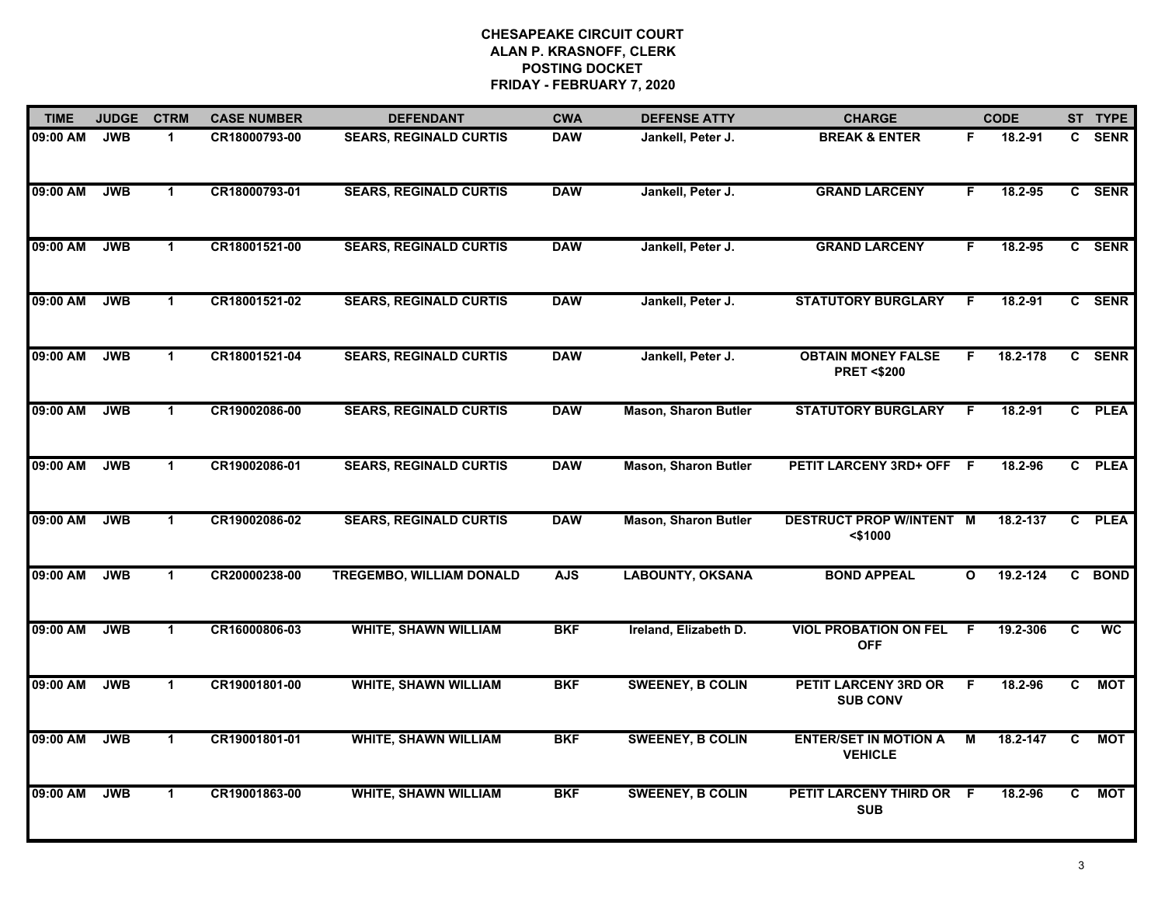| <b>TIME</b> | <b>JUDGE</b> | <b>CTRM</b>          | <b>CASE NUMBER</b> | <b>DEFENDANT</b>                | <b>CWA</b> | <b>DEFENSE ATTY</b>         | <b>CHARGE</b>                                      |              | <b>CODE</b> |                | ST TYPE     |
|-------------|--------------|----------------------|--------------------|---------------------------------|------------|-----------------------------|----------------------------------------------------|--------------|-------------|----------------|-------------|
| 09:00 AM    | <b>JWB</b>   | $\mathbf 1$          | CR18000793-00      | <b>SEARS, REGINALD CURTIS</b>   | <b>DAW</b> | Jankell, Peter J.           | <b>BREAK &amp; ENTER</b>                           | F            | 18.2-91     | $\mathbf{c}$   | <b>SENR</b> |
| 09:00 AM    | <b>JWB</b>   | $\mathbf{1}$         | CR18000793-01      | <b>SEARS, REGINALD CURTIS</b>   | <b>DAW</b> | Jankell, Peter J.           | <b>GRAND LARCENY</b>                               | F.           | 18.2-95     |                | C SENR      |
| 09:00 AM    | <b>JWB</b>   | $\blacktriangleleft$ | CR18001521-00      | <b>SEARS, REGINALD CURTIS</b>   | <b>DAW</b> | Jankell, Peter J.           | <b>GRAND LARCENY</b>                               | F.           | 18.2-95     |                | C SENR      |
| 09:00 AM    | <b>JWB</b>   | 1                    | CR18001521-02      | <b>SEARS, REGINALD CURTIS</b>   | <b>DAW</b> | Jankell, Peter J.           | <b>STATUTORY BURGLARY</b>                          | F            | $18.2 - 91$ |                | C SENR      |
| 09:00 AM    | <b>JWB</b>   | $\blacktriangleleft$ | CR18001521-04      | <b>SEARS, REGINALD CURTIS</b>   | <b>DAW</b> | Jankell, Peter J.           | <b>OBTAIN MONEY FALSE</b><br><b>PRET &lt;\$200</b> | F.           | 18.2-178    |                | C SENR      |
| 09:00 AM    | <b>JWB</b>   | $\mathbf{1}$         | CR19002086-00      | <b>SEARS, REGINALD CURTIS</b>   | <b>DAW</b> | <b>Mason, Sharon Butler</b> | <b>STATUTORY BURGLARY</b>                          | -F           | 18.2-91     | $\mathbf{c}$   | <b>PLEA</b> |
| 09:00 AM    | <b>JWB</b>   | $\mathbf{1}$         | CR19002086-01      | <b>SEARS, REGINALD CURTIS</b>   | <b>DAW</b> | <b>Mason, Sharon Butler</b> | PETIT LARCENY 3RD+ OFF F                           |              | 18.2-96     | $\overline{c}$ | <b>PLEA</b> |
| 09:00 AM    | <b>JWB</b>   | $\blacktriangleleft$ | CR19002086-02      | <b>SEARS, REGINALD CURTIS</b>   | <b>DAW</b> | <b>Mason, Sharon Butler</b> | <b>DESTRUCT PROP W/INTENT M</b><br>$<$ \$1000      |              | 18.2-137    | C.             | <b>PLEA</b> |
| 09:00 AM    | <b>JWB</b>   | $\mathbf 1$          | CR20000238-00      | <b>TREGEMBO, WILLIAM DONALD</b> | <b>AJS</b> | <b>LABOUNTY, OKSANA</b>     | <b>BOND APPEAL</b>                                 | $\mathbf{o}$ | 19.2-124    | C.             | <b>BOND</b> |
| 09:00 AM    | <b>JWB</b>   | $\blacktriangleleft$ | CR16000806-03      | <b>WHITE, SHAWN WILLIAM</b>     | <b>BKF</b> | Ireland, Elizabeth D.       | <b>VIOL PROBATION ON FEL</b><br><b>OFF</b>         | F            | 19.2-306    | C              | <b>WC</b>   |
| 09:00 AM    | <b>JWB</b>   | $\mathbf 1$          | CR19001801-00      | <b>WHITE, SHAWN WILLIAM</b>     | <b>BKF</b> | <b>SWEENEY, B COLIN</b>     | <b>PETIT LARCENY 3RD OR</b><br><b>SUB CONV</b>     | F            | 18.2-96     | C              | <b>MOT</b>  |
| 09:00 AM    | <b>JWB</b>   | $\mathbf{1}$         | CR19001801-01      | <b>WHITE, SHAWN WILLIAM</b>     | <b>BKF</b> | <b>SWEENEY, B COLIN</b>     | <b>ENTER/SET IN MOTION A</b><br><b>VEHICLE</b>     | М            | 18.2-147    | C              | <b>MOT</b>  |
| 09:00 AM    | <b>JWB</b>   | $\mathbf 1$          | CR19001863-00      | <b>WHITE, SHAWN WILLIAM</b>     | <b>BKF</b> | <b>SWEENEY, B COLIN</b>     | PETIT LARCENY THIRD OR F<br><b>SUB</b>             |              | 18.2-96     | C              | <b>MOT</b>  |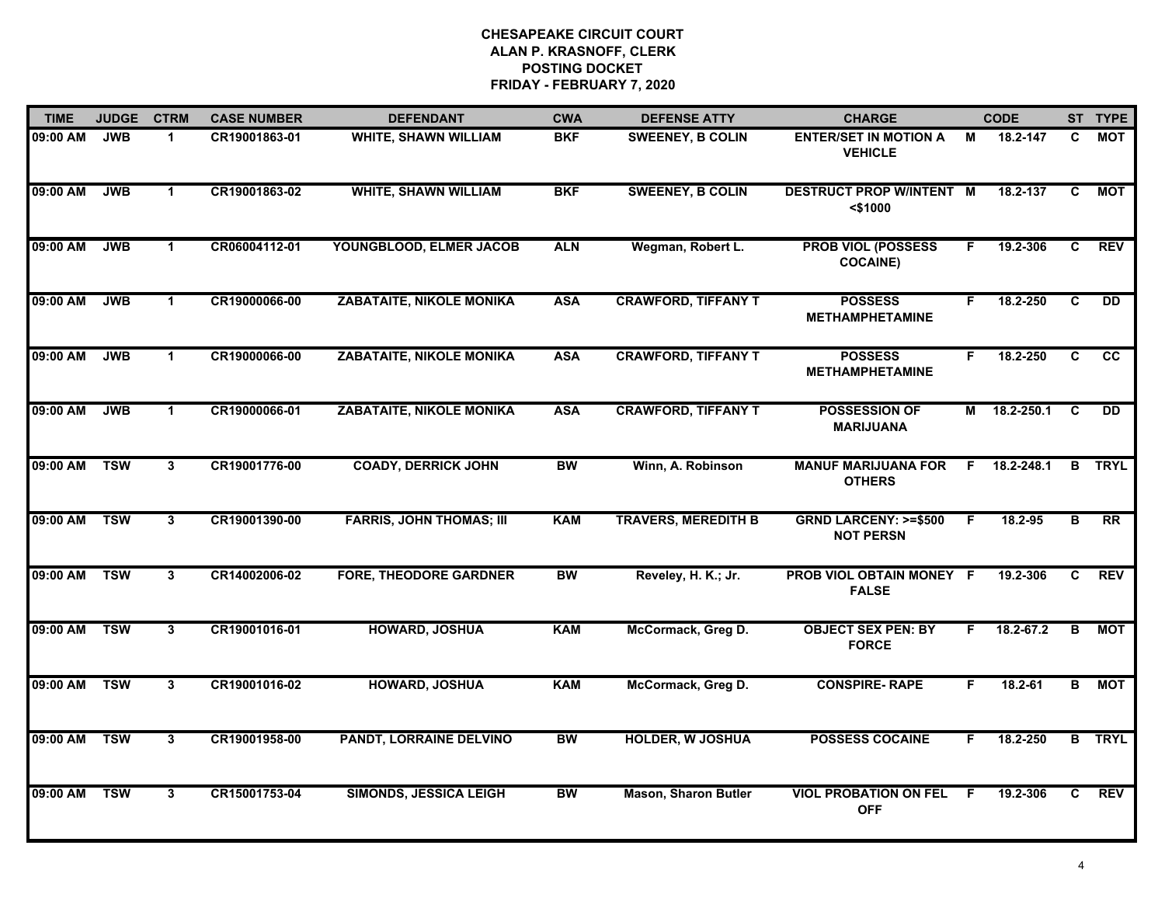| <b>TIME</b> | <b>JUDGE</b> | <b>CTRM</b>          | <b>CASE NUMBER</b> | <b>DEFENDANT</b>                | <b>CWA</b> | <b>DEFENSE ATTY</b>         | <b>CHARGE</b>                                       |    | <b>CODE</b>   |    | ST TYPE       |
|-------------|--------------|----------------------|--------------------|---------------------------------|------------|-----------------------------|-----------------------------------------------------|----|---------------|----|---------------|
| 09:00 AM    | <b>JWB</b>   | $\mathbf{1}$         | CR19001863-01      | <b>WHITE, SHAWN WILLIAM</b>     | <b>BKF</b> | <b>SWEENEY, B COLIN</b>     | <b>ENTER/SET IN MOTION A</b><br><b>VEHICLE</b>      | М  | 18.2-147      | C  | МОТ           |
| 09:00 AM    | <b>JWB</b>   | $\blacktriangleleft$ | CR19001863-02      | <b>WHITE, SHAWN WILLIAM</b>     | <b>BKF</b> | <b>SWEENEY, B COLIN</b>     | <b>DESTRUCT PROP W/INTENT M</b><br>$<$ \$1000       |    | 18.2-137      | C  | МОТ           |
| 09:00 AM    | <b>JWB</b>   | $\mathbf{1}$         | CR06004112-01      | YOUNGBLOOD, ELMER JACOB         | <b>ALN</b> | Wegman, Robert L.           | <b>PROB VIOL (POSSESS</b><br><b>COCAINE)</b>        | F. | 19.2-306      | C  | <b>REV</b>    |
| 09:00 AM    | <b>JWB</b>   | 1                    | CR19000066-00      | <b>ZABATAITE, NIKOLE MONIKA</b> | <b>ASA</b> | <b>CRAWFORD, TIFFANY T</b>  | <b>POSSESS</b><br><b>METHAMPHETAMINE</b>            | F. | 18.2-250      | C  | <b>DD</b>     |
| 09:00 AM    | <b>JWB</b>   | $\mathbf 1$          | CR19000066-00      | <b>ZABATAITE, NIKOLE MONIKA</b> | <b>ASA</b> | <b>CRAWFORD, TIFFANY T</b>  | <b>POSSESS</b><br><b>METHAMPHETAMINE</b>            | F. | 18.2-250      | C  | cc            |
| 09:00 AM    | <b>JWB</b>   | $\mathbf{1}$         | CR19000066-01      | <b>ZABATAITE, NIKOLE MONIKA</b> | <b>ASA</b> | <b>CRAWFORD, TIFFANY T</b>  | <b>POSSESSION OF</b><br><b>MARIJUANA</b>            |    | M 18.2-250.1  | C  | <b>DD</b>     |
| 09:00 AM    | <b>TSW</b>   | 3                    | CR19001776-00      | <b>COADY, DERRICK JOHN</b>      | <b>BW</b>  | Winn, A. Robinson           | <b>MANUF MARIJUANA FOR</b><br><b>OTHERS</b>         | F. | 18.2-248.1    | B  | <b>TRYL</b>   |
| 09:00 AM    | <b>TSW</b>   | $\mathbf{3}$         | CR19001390-00      | <b>FARRIS, JOHN THOMAS; III</b> | <b>KAM</b> | <b>TRAVERS, MEREDITH B</b>  | <b>GRND LARCENY: &gt;=\$500</b><br><b>NOT PERSN</b> | F  | 18.2-95       | в  | RR            |
| 09:00 AM    | <b>TSW</b>   | 3                    | CR14002006-02      | <b>FORE, THEODORE GARDNER</b>   | BW         | Reveley, H. K.; Jr.         | PROB VIOL OBTAIN MONEY F<br><b>FALSE</b>            |    | 19.2-306      | C  | <b>REV</b>    |
| 09:00 AM    | <b>TSW</b>   | $\mathbf{3}$         | CR19001016-01      | <b>HOWARD, JOSHUA</b>           | <b>KAM</b> | McCormack, Greg D.          | <b>OBJECT SEX PEN: BY</b><br><b>FORCE</b>           | F. | $18.2 - 67.2$ | B  | MOT           |
| 09:00 AM    | <b>TSW</b>   | $\mathbf{3}$         | CR19001016-02      | HOWARD, JOSHUA                  | <b>KAM</b> | McCormack, Greg D.          | <b>CONSPIRE-RAPE</b>                                | F. | $18.2 - 61$   | B  | <b>MOT</b>    |
| 09:00 AM    | <b>TSW</b>   | $\mathbf{3}$         | CR19001958-00      | <b>PANDT, LORRAINE DELVINO</b>  | <b>BW</b>  | <b>HOLDER, W JOSHUA</b>     | <b>POSSESS COCAINE</b>                              | F. | 18.2-250      |    | <b>B</b> TRYL |
| 09:00 AM    | <b>TSW</b>   | 3                    | CR15001753-04      | <b>SIMONDS, JESSICA LEIGH</b>   | <b>BW</b>  | <b>Mason, Sharon Butler</b> | <b>VIOL PROBATION ON FEL</b><br><b>OFF</b>          | F. | 19.2-306      | C. | <b>REV</b>    |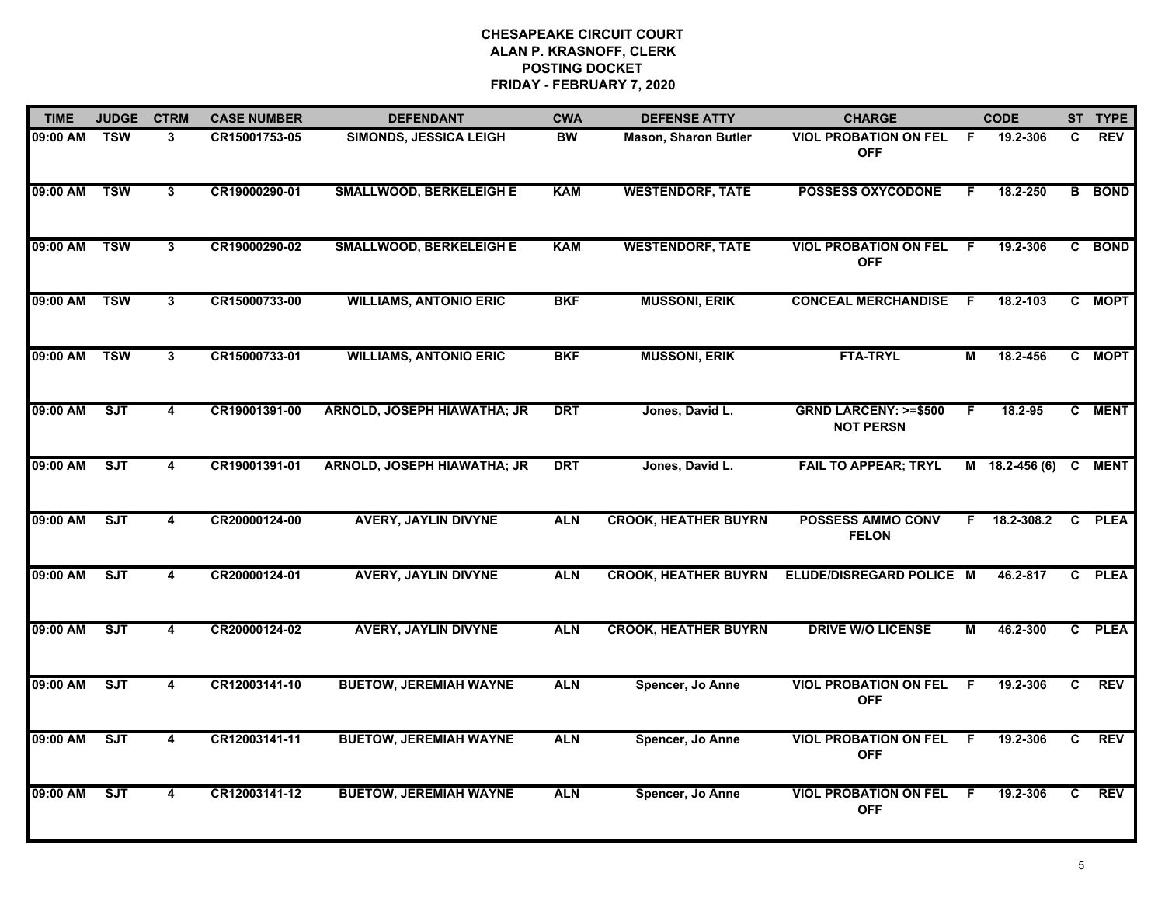| <b>TIME</b>  | <b>JUDGE</b> | <b>CTRM</b>             | <b>CASE NUMBER</b> | <b>DEFENDANT</b>                   | <b>CWA</b> | <b>DEFENSE ATTY</b>         | <b>CHARGE</b>                                       |    | <b>CODE</b>      |    | ST TYPE       |
|--------------|--------------|-------------------------|--------------------|------------------------------------|------------|-----------------------------|-----------------------------------------------------|----|------------------|----|---------------|
| 09:00 AM TSW |              | 3                       | CR15001753-05      | SIMONDS, JESSICA LEIGH             | <b>BW</b>  | <b>Mason, Sharon Butler</b> | <b>VIOL PROBATION ON FEL</b><br><b>OFF</b>          | -F | 19.2-306         | C. | <b>REV</b>    |
| 09:00 AM     | <b>TSW</b>   | $\mathbf{3}$            | CR19000290-01      | <b>SMALLWOOD, BERKELEIGH E</b>     | <b>KAM</b> | <b>WESTENDORF, TATE</b>     | <b>POSSESS OXYCODONE</b>                            | F. | 18.2-250         |    | <b>B</b> BOND |
| 09:00 AM     | <b>TSW</b>   | $\mathbf{3}$            | CR19000290-02      | <b>SMALLWOOD, BERKELEIGH E</b>     | <b>KAM</b> | <b>WESTENDORF, TATE</b>     | <b>VIOL PROBATION ON FEL</b><br><b>OFF</b>          | F  | 19.2-306         |    | C BOND        |
| 09:00 AM     | <b>TSW</b>   | $\mathbf{3}$            | CR15000733-00      | <b>WILLIAMS, ANTONIO ERIC</b>      | <b>BKF</b> | <b>MUSSONI, ERIK</b>        | <b>CONCEAL MERCHANDISE</b>                          | -F | 18.2-103         |    | C MOPT        |
| 09:00 AM     | <b>TSW</b>   | 3                       | CR15000733-01      | <b>WILLIAMS, ANTONIO ERIC</b>      | <b>BKF</b> | <b>MUSSONI, ERIK</b>        | <b>FTA-TRYL</b>                                     | М  | 18.2-456         |    | C MOPT        |
| 09:00 AM     | ST           | 4                       | CR19001391-00      | <b>ARNOLD, JOSEPH HIAWATHA; JR</b> | <b>DRT</b> | Jones, David L.             | <b>GRND LARCENY: &gt;=\$500</b><br><b>NOT PERSN</b> | F. | 18.2-95          |    | C MENT        |
| 09:00 AM     | ST           | 4                       | CR19001391-01      | ARNOLD, JOSEPH HIAWATHA; JR        | <b>DRT</b> | Jones, David L.             | <b>FAIL TO APPEAR; TRYL</b>                         |    | $M$ 18.2-456 (6) | C  | <b>MENT</b>   |
| 09:00 AM     | ST           | 4                       | CR20000124-00      | <b>AVERY, JAYLIN DIVYNE</b>        | <b>ALN</b> | <b>CROOK, HEATHER BUYRN</b> | <b>POSSESS AMMO CONV</b><br><b>FELON</b>            | F. | 18.2-308.2       |    | C PLEA        |
| 09:00 AM     | SJT          | 4                       | CR20000124-01      | <b>AVERY, JAYLIN DIVYNE</b>        | <b>ALN</b> | <b>CROOK, HEATHER BUYRN</b> | ELUDE/DISREGARD POLICE M                            |    | 46.2-817         | C. | <b>PLEA</b>   |
| 09:00 AM     | SJT          | $\overline{\mathbf{4}}$ | CR20000124-02      | <b>AVERY, JAYLIN DIVYNE</b>        | <b>ALN</b> | <b>CROOK, HEATHER BUYRN</b> | <b>DRIVE W/O LICENSE</b>                            | M  | 46.2-300         |    | C PLEA        |
| 09:00 AM     | ST           | 4                       | CR12003141-10      | <b>BUETOW, JEREMIAH WAYNE</b>      | <b>ALN</b> | Spencer, Jo Anne            | <b>VIOL PROBATION ON FEL</b><br><b>OFF</b>          | -F | 19.2-306         | C  | <b>REV</b>    |
| 09:00 AM     | ST           | $\overline{\mathbf{4}}$ | CR12003141-11      | <b>BUETOW, JEREMIAH WAYNE</b>      | <b>ALN</b> | Spencer, Jo Anne            | <b>VIOL PROBATION ON FEL</b><br><b>OFF</b>          | F. | 19.2-306         | C  | <b>REV</b>    |
| 09:00 AM     | ST           | 4                       | CR12003141-12      | <b>BUETOW, JEREMIAH WAYNE</b>      | <b>ALN</b> | Spencer, Jo Anne            | <b>VIOL PROBATION ON FEL</b><br><b>OFF</b>          | -F | 19.2-306         | C. | <b>REV</b>    |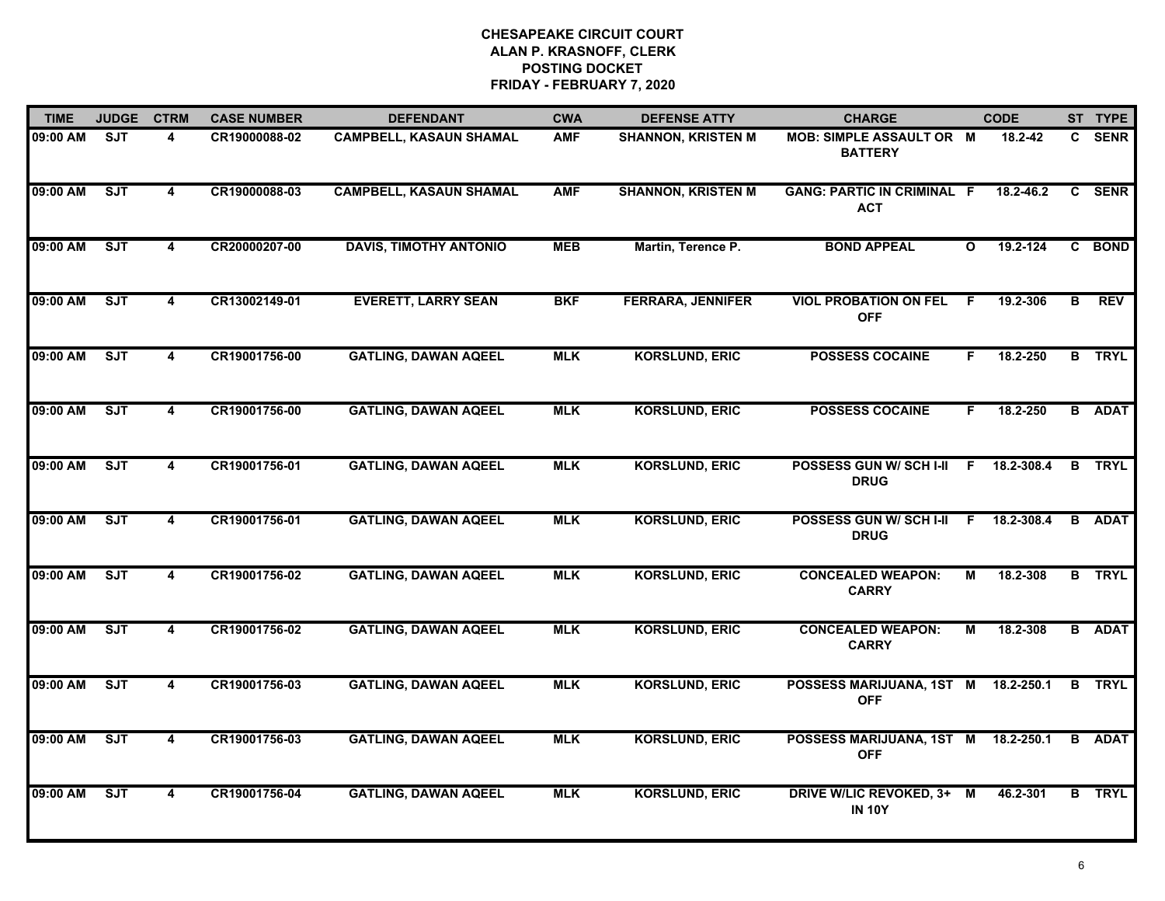| <b>TIME</b> | <b>JUDGE</b> | <b>CTRM</b>             | <b>CASE NUMBER</b> | <b>DEFENDANT</b>               | <b>CWA</b> | <b>DEFENSE ATTY</b>       | <b>CHARGE</b>                                     |              | <b>CODE</b> |   | ST TYPE       |
|-------------|--------------|-------------------------|--------------------|--------------------------------|------------|---------------------------|---------------------------------------------------|--------------|-------------|---|---------------|
| 09:00 AM    | <b>SJT</b>   | 4                       | CR19000088-02      | <b>CAMPBELL, KASAUN SHAMAL</b> | <b>AMF</b> | <b>SHANNON, KRISTEN M</b> | <b>MOB: SIMPLE ASSAULT OR M</b><br><b>BATTERY</b> |              | 18.2-42     |   | C SENR        |
| 09:00 AM    | ST           | 4                       | CR19000088-03      | <b>CAMPBELL, KASAUN SHAMAL</b> | <b>AMF</b> | <b>SHANNON, KRISTEN M</b> | <b>GANG: PARTIC IN CRIMINAL F</b><br><b>ACT</b>   |              | 18.2-46.2   |   | C SENR        |
| 09:00 AM    | SJT          | $\overline{4}$          | CR20000207-00      | <b>DAVIS, TIMOTHY ANTONIO</b>  | <b>MEB</b> | Martin, Terence P.        | <b>BOND APPEAL</b>                                | $\mathbf{o}$ | 19.2-124    |   | C BOND        |
| 09:00 AM    | SJT          | 4                       | CR13002149-01      | <b>EVERETT, LARRY SEAN</b>     | <b>BKF</b> | <b>FERRARA, JENNIFER</b>  | <b>VIOL PROBATION ON FEL</b><br><b>OFF</b>        | F.           | 19.2-306    | В | <b>REV</b>    |
| 09:00 AM    | SJT          | 4                       | CR19001756-00      | <b>GATLING, DAWAN AQEEL</b>    | <b>MLK</b> | <b>KORSLUND, ERIC</b>     | <b>POSSESS COCAINE</b>                            | F.           | 18.2-250    |   | <b>B</b> TRYL |
| 09:00 AM    | SJT          | 4                       | CR19001756-00      | <b>GATLING, DAWAN AQEEL</b>    | <b>MLK</b> | <b>KORSLUND, ERIC</b>     | <b>POSSESS COCAINE</b>                            | F.           | 18.2-250    |   | <b>B</b> ADAT |
| 09:00 AM    | ST           | $\overline{4}$          | CR19001756-01      | <b>GATLING, DAWAN AQEEL</b>    | <b>MLK</b> | <b>KORSLUND, ERIC</b>     | <b>POSSESS GUN W/ SCH I-II</b><br><b>DRUG</b>     | $\mathbf{F}$ | 18.2-308.4  | B | <b>TRYL</b>   |
| 09:00 AM    | ST           | $\overline{\mathbf{4}}$ | CR19001756-01      | <b>GATLING, DAWAN AQEEL</b>    | <b>MLK</b> | <b>KORSLUND, ERIC</b>     | POSSESS GUN W/ SCH I-II<br><b>DRUG</b>            | E            | 18.2-308.4  |   | <b>B</b> ADAT |
| 09:00 AM    | <b>SJT</b>   | 4                       | CR19001756-02      | <b>GATLING, DAWAN AQEEL</b>    | <b>MLK</b> | <b>KORSLUND, ERIC</b>     | <b>CONCEALED WEAPON:</b><br><b>CARRY</b>          | M            | 18.2-308    |   | <b>B</b> TRYL |
| 09:00 AM    | ST           | 4                       | CR19001756-02      | <b>GATLING, DAWAN AQEEL</b>    | <b>MLK</b> | <b>KORSLUND, ERIC</b>     | <b>CONCEALED WEAPON:</b><br><b>CARRY</b>          | M            | 18.2-308    |   | <b>B</b> ADAT |
| 09:00 AM    | ST           | 4                       | CR19001756-03      | <b>GATLING, DAWAN AQEEL</b>    | <b>MLK</b> | <b>KORSLUND, ERIC</b>     | POSSESS MARIJUANA, 1ST M<br><b>OFF</b>            |              | 18.2-250.1  |   | <b>B</b> TRYL |
| 09:00 AM    | ST           | 4                       | CR19001756-03      | <b>GATLING, DAWAN AQEEL</b>    | <b>MLK</b> | <b>KORSLUND, ERIC</b>     | POSSESS MARIJUANA, 1ST M<br><b>OFF</b>            |              | 18.2-250.1  | B | <b>ADAT</b>   |
| 09:00 AM    | ST           | 4                       | CR19001756-04      | <b>GATLING, DAWAN AQEEL</b>    | <b>MLK</b> | <b>KORSLUND, ERIC</b>     | DRIVE W/LIC REVOKED, 3+ M<br><b>IN 10Y</b>        |              | 46.2-301    |   | <b>B</b> TRYL |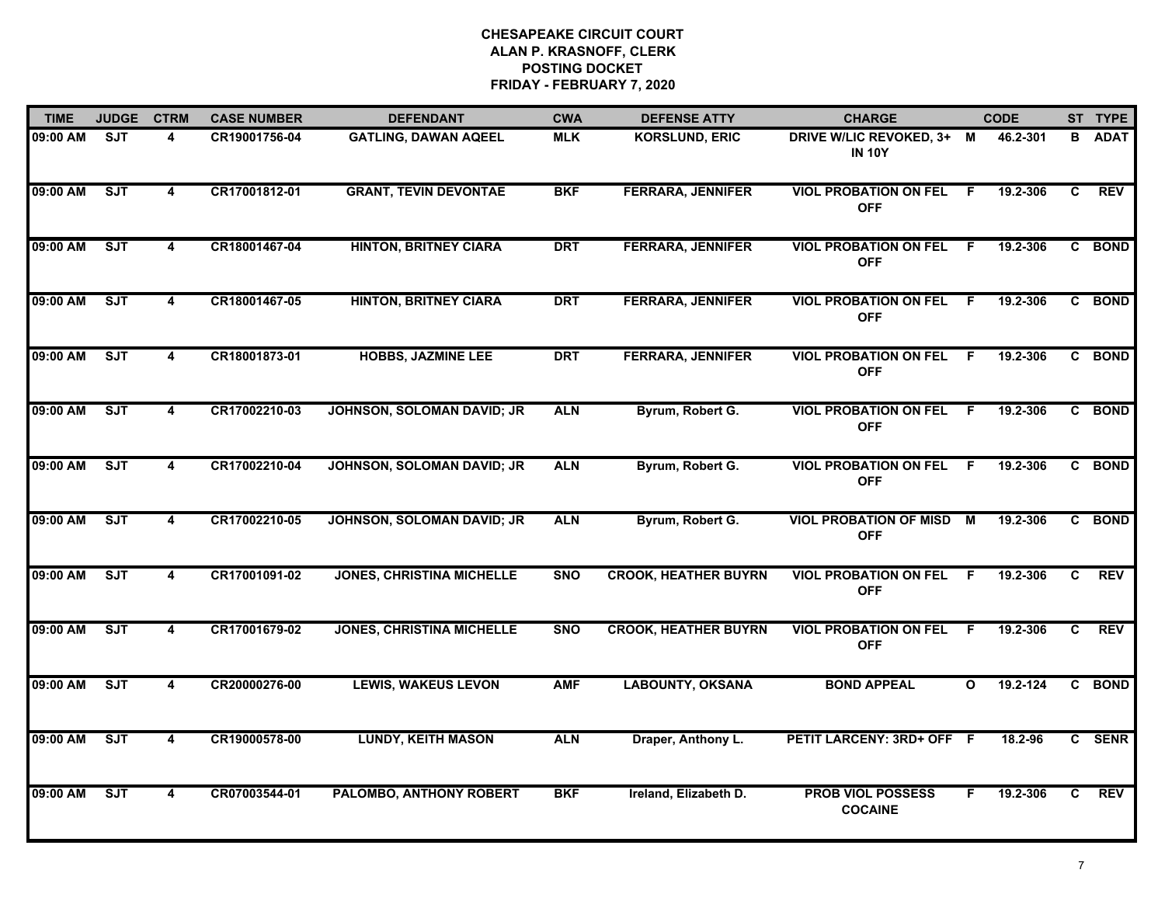| <b>TIME</b> | <b>JUDGE</b> | <b>CTRM</b>             | <b>CASE NUMBER</b> | <b>DEFENDANT</b>                 | <b>CWA</b> | <b>DEFENSE ATTY</b>         | <b>CHARGE</b>                               |              | <b>CODE</b> |              | ST TYPE     |
|-------------|--------------|-------------------------|--------------------|----------------------------------|------------|-----------------------------|---------------------------------------------|--------------|-------------|--------------|-------------|
| 09:00 AM    | <b>SJT</b>   | 4                       | CR19001756-04      | <b>GATLING, DAWAN AQEEL</b>      | <b>MLK</b> | <b>KORSLUND, ERIC</b>       | DRIVE W/LIC REVOKED, 3+ M<br><b>IN 10Y</b>  |              | 46.2-301    | в            | <b>ADAT</b> |
| 09:00 AM    | <b>SJT</b>   | $\overline{\mathbf{4}}$ | CR17001812-01      | <b>GRANT, TEVIN DEVONTAE</b>     | <b>BKF</b> | <b>FERRARA, JENNIFER</b>    | <b>VIOL PROBATION ON FEL</b><br><b>OFF</b>  | -F           | 19.2-306    | C.           | <b>REV</b>  |
| 09:00 AM    | ST           | 4                       | CR18001467-04      | <b>HINTON, BRITNEY CIARA</b>     | <b>DRT</b> | <b>FERRARA, JENNIFER</b>    | <b>VIOL PROBATION ON FEL</b><br><b>OFF</b>  | -F           | 19.2-306    |              | C BOND      |
| 09:00 AM    | ST           | 4                       | CR18001467-05      | <b>HINTON, BRITNEY CIARA</b>     | <b>DRT</b> | <b>FERRARA, JENNIFER</b>    | <b>VIOL PROBATION ON FEL</b><br><b>OFF</b>  | -F           | 19.2-306    |              | C BOND      |
| 09:00 AM    | <b>SJT</b>   | 4                       | CR18001873-01      | <b>HOBBS, JAZMINE LEE</b>        | <b>DRT</b> | <b>FERRARA, JENNIFER</b>    | <b>VIOL PROBATION ON FEL</b><br><b>OFF</b>  | -F           | 19.2-306    |              | C BOND      |
| 09:00 AM    | ST           | 4                       | CR17002210-03      | JOHNSON, SOLOMAN DAVID; JR       | <b>ALN</b> | Byrum, Robert G.            | <b>VIOL PROBATION ON FEL</b><br><b>OFF</b>  | -F           | 19.2-306    |              | C BOND      |
| 09:00 AM    | ST           | 4                       | CR17002210-04      | JOHNSON, SOLOMAN DAVID; JR       | <b>ALN</b> | Byrum, Robert G.            | <b>VIOL PROBATION ON FEL</b><br><b>OFF</b>  | - F          | 19.2-306    |              | C BOND      |
| 09:00 AM    | ST           | 4                       | CR17002210-05      | JOHNSON, SOLOMAN DAVID; JR       | <b>ALN</b> | Byrum, Robert G.            | <b>VIOL PROBATION OF MISD</b><br><b>OFF</b> | M            | 19.2-306    |              | C BOND      |
| 09:00 AM    | <b>SJT</b>   | 4                       | CR17001091-02      | <b>JONES, CHRISTINA MICHELLE</b> | <b>SNO</b> | <b>CROOK, HEATHER BUYRN</b> | <b>VIOL PROBATION ON FEL</b><br><b>OFF</b>  | -F           | 19.2-306    | C.           | <b>REV</b>  |
| 09:00 AM    | ST           | 4                       | CR17001679-02      | <b>JONES, CHRISTINA MICHELLE</b> | <b>SNO</b> | <b>CROOK, HEATHER BUYRN</b> | <b>VIOL PROBATION ON FEL</b><br><b>OFF</b>  | F.           | 19.2-306    | $\mathbf{C}$ | <b>REV</b>  |
| 09:00 AM    | ST           | 4                       | CR20000276-00      | <b>LEWIS, WAKEUS LEVON</b>       | <b>AMF</b> | <b>LABOUNTY, OKSANA</b>     | <b>BOND APPEAL</b>                          | $\mathbf{o}$ | 19.2-124    |              | C BOND      |
| 09:00 AM    | ST           | $\overline{\mathbf{4}}$ | CR19000578-00      | <b>LUNDY, KEITH MASON</b>        | <b>ALN</b> | Draper, Anthony L.          | PETIT LARCENY: 3RD+ OFF F                   |              | 18.2-96     |              | C SENR      |
| 09:00 AM    | SJT          | 4                       | CR07003544-01      | PALOMBO, ANTHONY ROBERT          | <b>BKF</b> | Ireland, Elizabeth D.       | <b>PROB VIOL POSSESS</b><br><b>COCAINE</b>  | F.           | 19.2-306    | C.           | <b>REV</b>  |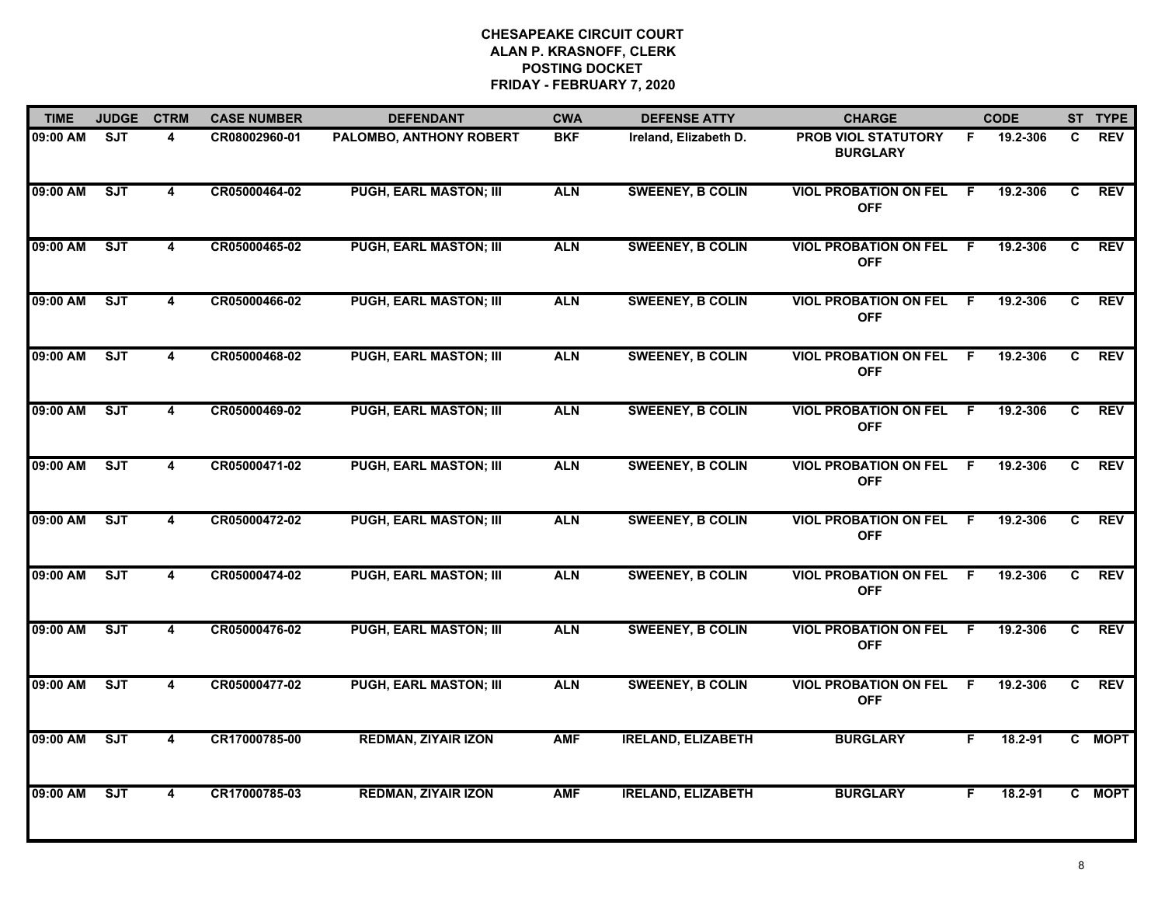| <b>TIME</b> | <b>JUDGE</b> | <b>CTRM</b>             | <b>CASE NUMBER</b> | <b>DEFENDANT</b>               | <b>CWA</b> | <b>DEFENSE ATTY</b>       | <b>CHARGE</b>                                 |     | <b>CODE</b> |                | ST TYPE    |
|-------------|--------------|-------------------------|--------------------|--------------------------------|------------|---------------------------|-----------------------------------------------|-----|-------------|----------------|------------|
| 09:00 AM    | SJT          | 4                       | CR08002960-01      | <b>PALOMBO, ANTHONY ROBERT</b> | <b>BKF</b> | Ireland, Elizabeth D.     | <b>PROB VIOL STATUTORY</b><br><b>BURGLARY</b> | F.  | 19.2-306    | C.             | <b>REV</b> |
| 09:00 AM    | SJT          | $\overline{\mathbf{4}}$ | CR05000464-02      | <b>PUGH, EARL MASTON; III</b>  | <b>ALN</b> | <b>SWEENEY, B COLIN</b>   | <b>VIOL PROBATION ON FEL</b><br><b>OFF</b>    | -F  | 19.2-306    | C              | <b>REV</b> |
| 09:00 AM    | ST           | 4                       | CR05000465-02      | <b>PUGH, EARL MASTON; III</b>  | <b>ALN</b> | <b>SWEENEY, B COLIN</b>   | <b>VIOL PROBATION ON FEL</b><br><b>OFF</b>    | -F  | 19.2-306    | C              | <b>REV</b> |
| 09:00 AM    | SJT          | 4                       | CR05000466-02      | <b>PUGH, EARL MASTON; III</b>  | <b>ALN</b> | <b>SWEENEY, B COLIN</b>   | <b>VIOL PROBATION ON FEL</b><br><b>OFF</b>    | F   | 19.2-306    | C.             | <b>REV</b> |
| 09:00 AM    | ST           | 4                       | CR05000468-02      | <b>PUGH, EARL MASTON; III</b>  | <b>ALN</b> | <b>SWEENEY, B COLIN</b>   | <b>VIOL PROBATION ON FEL</b><br><b>OFF</b>    | - F | 19.2-306    | C              | <b>REV</b> |
| 09:00 AM    | SJT          | 4                       | CR05000469-02      | <b>PUGH, EARL MASTON; III</b>  | <b>ALN</b> | <b>SWEENEY, B COLIN</b>   | <b>VIOL PROBATION ON FEL</b><br><b>OFF</b>    | -F  | 19.2-306    | C              | <b>REV</b> |
| 09:00 AM    | ST           | 4                       | CR05000471-02      | <b>PUGH, EARL MASTON; III</b>  | <b>ALN</b> | <b>SWEENEY, B COLIN</b>   | <b>VIOL PROBATION ON FEL</b><br><b>OFF</b>    | - F | 19.2-306    | C              | <b>REV</b> |
| 09:00 AM    | SJT          | 4                       | CR05000472-02      | <b>PUGH, EARL MASTON; III</b>  | <b>ALN</b> | <b>SWEENEY, B COLIN</b>   | <b>VIOL PROBATION ON FEL</b><br><b>OFF</b>    | -F  | 19.2-306    | $\overline{c}$ | <b>REV</b> |
| 09:00 AM    | SJT          | $\overline{\mathbf{4}}$ | CR05000474-02      | <b>PUGH, EARL MASTON; III</b>  | <b>ALN</b> | <b>SWEENEY, B COLIN</b>   | <b>VIOL PROBATION ON FEL</b><br><b>OFF</b>    | -F  | 19.2-306    | C              | <b>REV</b> |
| 09:00 AM    | SJT          | 4                       | CR05000476-02      | <b>PUGH, EARL MASTON; III</b>  | <b>ALN</b> | <b>SWEENEY, B COLIN</b>   | <b>VIOL PROBATION ON FEL</b><br><b>OFF</b>    | F   | 19.2-306    | C              | <b>REV</b> |
| 09:00 AM    | SJT          | 4                       | CR05000477-02      | <b>PUGH, EARL MASTON; III</b>  | <b>ALN</b> | <b>SWEENEY, B COLIN</b>   | <b>VIOL PROBATION ON FEL</b><br><b>OFF</b>    | - F | 19.2-306    | C              | <b>REV</b> |
| 09:00 AM    | SJT          | 4                       | CR17000785-00      | <b>REDMAN, ZIYAIR IZON</b>     | <b>AMF</b> | <b>IRELAND, ELIZABETH</b> | <b>BURGLARY</b>                               | F.  | 18.2-91     |                | C MOPT     |
| 09:00 AM    | ST           | 4                       | CR17000785-03      | <b>REDMAN, ZIYAIR IZON</b>     | <b>AMF</b> | <b>IRELAND, ELIZABETH</b> | <b>BURGLARY</b>                               | F   | 18.2-91     |                | C MOPT     |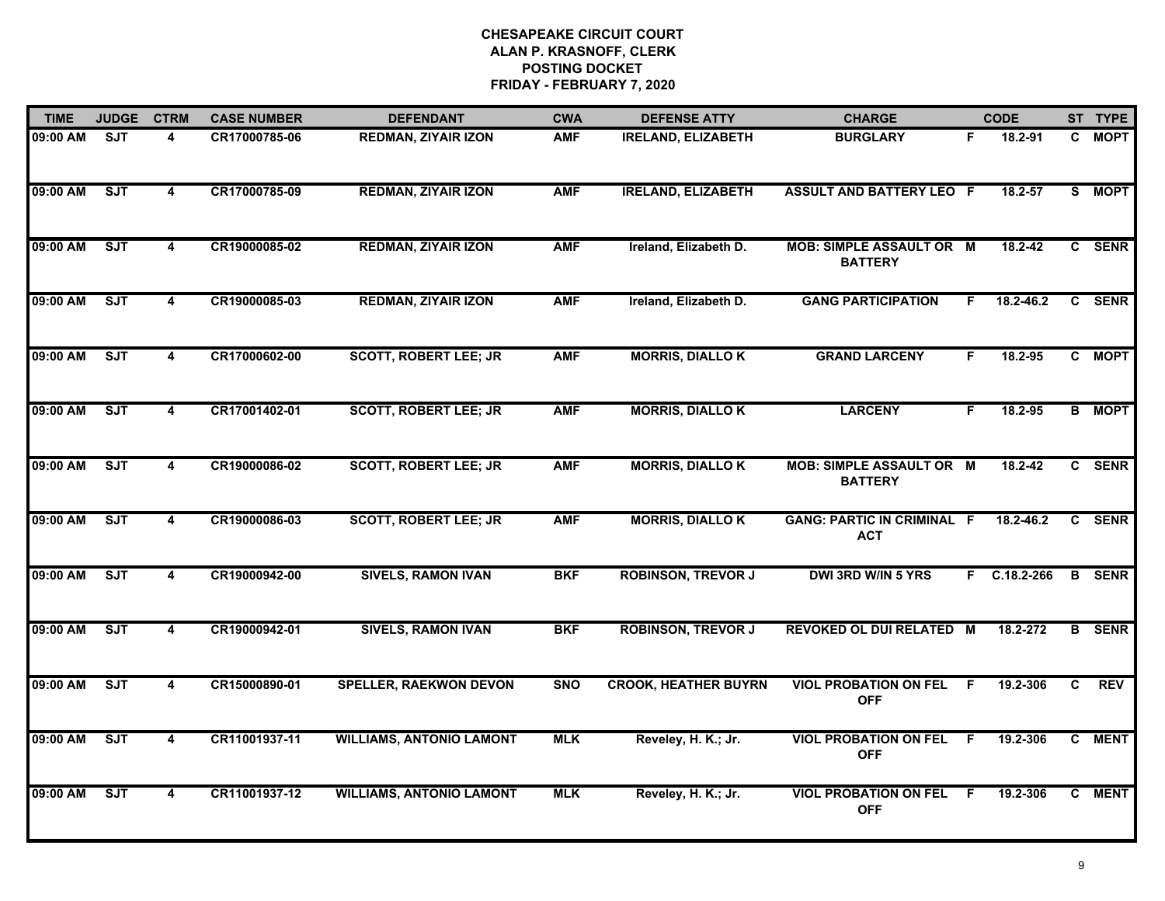| <b>TIME</b> | <b>JUDGE</b>            | <b>CTRM</b>             | <b>CASE NUMBER</b> | <b>DEFENDANT</b>                | <b>CWA</b> | <b>DEFENSE ATTY</b>         | <b>CHARGE</b>                                     |    | <b>CODE</b>    |                | ST TYPE       |
|-------------|-------------------------|-------------------------|--------------------|---------------------------------|------------|-----------------------------|---------------------------------------------------|----|----------------|----------------|---------------|
| 09:00 AM    | $\overline{\text{SJT}}$ | 4                       | CR17000785-06      | <b>REDMAN, ZIYAIR IZON</b>      | <b>AMF</b> | <b>IRELAND, ELIZABETH</b>   | <b>BURGLARY</b>                                   | F  | 18.2-91        | $\mathbf{c}$   | <b>MOPT</b>   |
| 09:00 AM    | <b>SJT</b>              | $\overline{4}$          | CR17000785-09      | <b>REDMAN, ZIYAIR IZON</b>      | <b>AMF</b> | <b>IRELAND, ELIZABETH</b>   | <b>ASSULT AND BATTERY LEO F</b>                   |    | 18.2-57        | S              | <b>MOPT</b>   |
| 09:00 AM    | ST                      | 4                       | CR19000085-02      | <b>REDMAN, ZIYAIR IZON</b>      | <b>AMF</b> | Ireland, Elizabeth D.       | <b>MOB: SIMPLE ASSAULT OR M</b><br><b>BATTERY</b> |    | 18.2-42        |                | C SENR        |
| 09:00 AM    | SJT                     | 4                       | CR19000085-03      | <b>REDMAN, ZIYAIR IZON</b>      | <b>AMF</b> | Ireland, Elizabeth D.       | <b>GANG PARTICIPATION</b>                         | F. | 18.2-46.2      | $\mathbf{c}$   | <b>SENR</b>   |
| 09:00 AM    | SJT                     | 4                       | CR17000602-00      | <b>SCOTT, ROBERT LEE; JR</b>    | <b>AMF</b> | <b>MORRIS, DIALLOK</b>      | <b>GRAND LARCENY</b>                              | F. | 18.2-95        |                | C MOPT        |
| 09:00 AM    | ST                      | 4                       | CR17001402-01      | <b>SCOTT, ROBERT LEE; JR</b>    | <b>AMF</b> | <b>MORRIS, DIALLO K</b>     | <b>LARCENY</b>                                    | F. | 18.2-95        |                | <b>B</b> MOPT |
| 09:00 AM    | ST                      | 4                       | CR19000086-02      | <b>SCOTT, ROBERT LEE; JR</b>    | <b>AMF</b> | <b>MORRIS, DIALLO K</b>     | MOB: SIMPLE ASSAULT OR M<br><b>BATTERY</b>        |    | 18.2-42        |                | C SENR        |
| 09:00 AM    | ST                      | $\overline{\mathbf{4}}$ | CR19000086-03      | <b>SCOTT, ROBERT LEE; JR</b>    | <b>AMF</b> | <b>MORRIS, DIALLO K</b>     | <b>GANG: PARTIC IN CRIMINAL F</b><br><b>ACT</b>   |    | 18.2-46.2      |                | C SENR        |
| 09:00 AM    | SJT                     | 4                       | CR19000942-00      | <b>SIVELS, RAMON IVAN</b>       | <b>BKF</b> | <b>ROBINSON, TREVOR J</b>   | DWI 3RD W/IN 5 YRS                                | F. | $C.18.2 - 266$ |                | <b>B</b> SENR |
| 09:00 AM    | ST                      | 4                       | CR19000942-01      | <b>SIVELS, RAMON IVAN</b>       | <b>BKF</b> | <b>ROBINSON, TREVOR J</b>   | <b>REVOKED OL DUI RELATED M</b>                   |    | 18.2-272       |                | <b>B</b> SENR |
| 09:00 AM    | ST                      | 4                       | CR15000890-01      | <b>SPELLER, RAEKWON DEVON</b>   | <b>SNO</b> | <b>CROOK, HEATHER BUYRN</b> | <b>VIOL PROBATION ON FEL</b><br><b>OFF</b>        | -F | 19.2-306       | C.             | <b>REV</b>    |
| 09:00 AM    | ST                      | 4                       | CR11001937-11      | <b>WILLIAMS, ANTONIO LAMONT</b> | <b>MLK</b> | Reveley, H. K.; Jr.         | <b>VIOL PROBATION ON FEL</b><br><b>OFF</b>        | -F | 19.2-306       | $\overline{c}$ | <b>MENT</b>   |
| 09:00 AM    | ST                      | $\overline{\mathbf{4}}$ | CR11001937-12      | <b>WILLIAMS, ANTONIO LAMONT</b> | <b>MLK</b> | Reveley, H. K.; Jr.         | <b>VIOL PROBATION ON FEL</b><br><b>OFF</b>        | E  | 19.2-306       |                | C MENT        |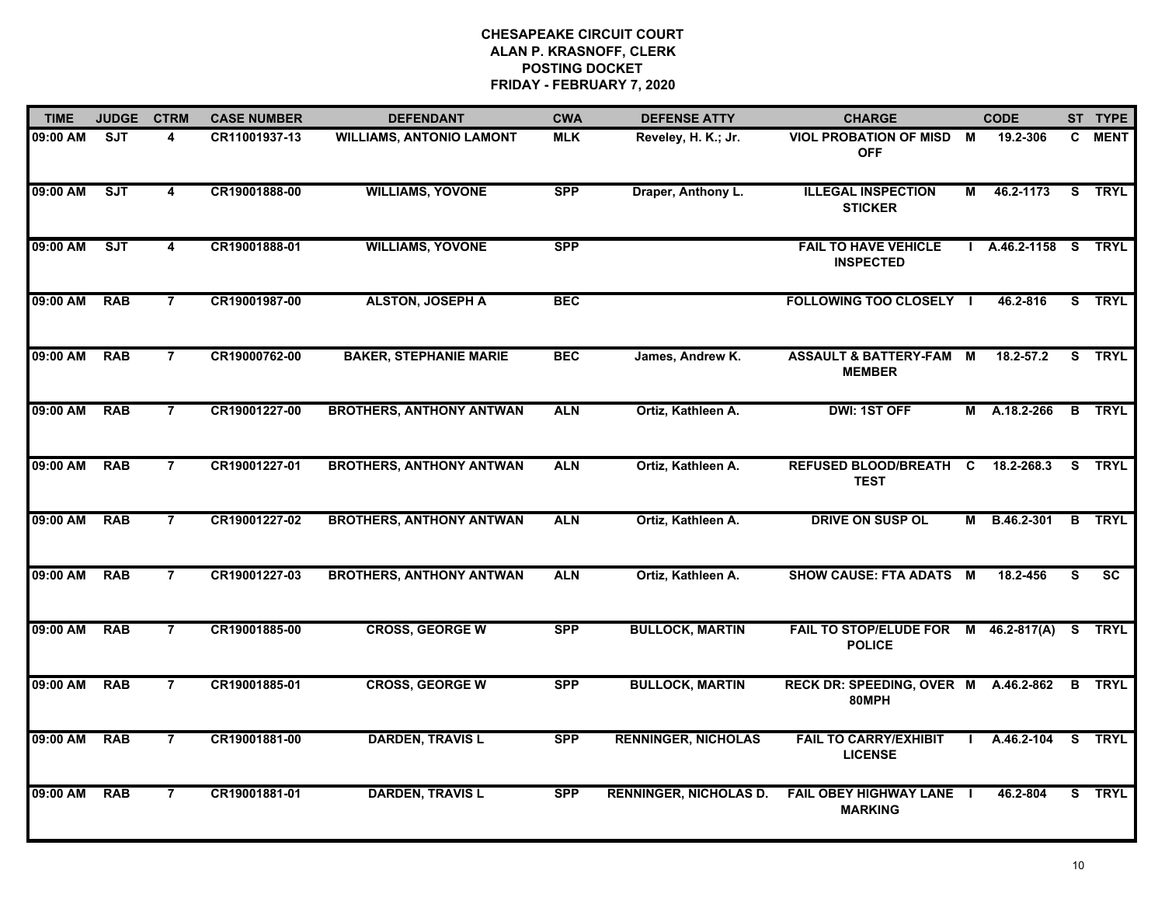| <b>TIME</b> | <b>JUDGE</b> | <b>CTRM</b>             | <b>CASE NUMBER</b> | <b>DEFENDANT</b>                | <b>CWA</b> | <b>DEFENSE ATTY</b>           | <b>CHARGE</b>                                       |   | <b>CODE</b>       |          | ST TYPE       |
|-------------|--------------|-------------------------|--------------------|---------------------------------|------------|-------------------------------|-----------------------------------------------------|---|-------------------|----------|---------------|
| 09:00 AM    | <b>SJT</b>   | 4                       | CR11001937-13      | <b>WILLIAMS, ANTONIO LAMONT</b> | <b>MLK</b> | Reveley, H. K.; Jr.           | <b>VIOL PROBATION OF MISD</b><br><b>OFF</b>         | М | 19.2-306          | C.       | <b>MENT</b>   |
| 09:00 AM    | <b>SJT</b>   | $\overline{\mathbf{4}}$ | CR19001888-00      | <b>WILLIAMS, YOVONE</b>         | <b>SPP</b> | Draper, Anthony L.            | <b>ILLEGAL INSPECTION</b><br><b>STICKER</b>         | м | 46.2-1173         | S.       | <b>TRYL</b>   |
| 09:00 AM    | ST           | $\overline{\mathbf{4}}$ | CR19001888-01      | <b>WILLIAMS, YOVONE</b>         | <b>SPP</b> |                               | <b>FAIL TO HAVE VEHICLE</b><br><b>INSPECTED</b>     |   | $A.46.2 - 1158$ S |          | <b>TRYL</b>   |
| 09:00 AM    | <b>RAB</b>   | $\overline{7}$          | CR19001987-00      | <b>ALSTON, JOSEPH A</b>         | <b>BEC</b> |                               | <b>FOLLOWING TOO CLOSELY I</b>                      |   | 46.2-816          |          | S TRYL        |
| 09:00 AM    | <b>RAB</b>   | $\overline{7}$          | CR19000762-00      | <b>BAKER, STEPHANIE MARIE</b>   | <b>BEC</b> | James, Andrew K.              | <b>ASSAULT &amp; BATTERY-FAM M</b><br><b>MEMBER</b> |   | 18.2-57.2         |          | S TRYL        |
| 09:00 AM    | <b>RAB</b>   | $\overline{7}$          | CR19001227-00      | <b>BROTHERS, ANTHONY ANTWAN</b> | <b>ALN</b> | Ortiz, Kathleen A.            | <b>DWI: 1ST OFF</b>                                 |   | M A.18.2-266      | B        | <b>TRYL</b>   |
| 09:00 AM    | <b>RAB</b>   | $\overline{7}$          | CR19001227-01      | <b>BROTHERS, ANTHONY ANTWAN</b> | <b>ALN</b> | Ortiz, Kathleen A.            | <b>REFUSED BLOOD/BREATH C</b><br><b>TEST</b>        |   | 18.2-268.3        | <b>S</b> | <b>TRYL</b>   |
| 09:00 AM    | <b>RAB</b>   | $\overline{7}$          | CR19001227-02      | <b>BROTHERS, ANTHONY ANTWAN</b> | <b>ALN</b> | Ortiz, Kathleen A.            | <b>DRIVE ON SUSP OL</b>                             |   | M B.46.2-301      | B        | <b>TRYL</b>   |
| 09:00 AM    | <b>RAB</b>   | $\overline{7}$          | CR19001227-03      | <b>BROTHERS, ANTHONY ANTWAN</b> | <b>ALN</b> | Ortiz, Kathleen A.            | <b>SHOW CAUSE: FTA ADATS</b>                        | M | 18.2-456          | S        | <b>SC</b>     |
| 09:00 AM    | <b>RAB</b>   | $\overline{7}$          | CR19001885-00      | <b>CROSS, GEORGE W</b>          | <b>SPP</b> | <b>BULLOCK, MARTIN</b>        | <b>FAIL TO STOP/ELUDE FOR</b><br><b>POLICE</b>      |   | $M$ 46.2-817(A)   | S.       | <b>TRYL</b>   |
| 09:00 AM    | <b>RAB</b>   | 7                       | CR19001885-01      | <b>CROSS, GEORGE W</b>          | <b>SPP</b> | <b>BULLOCK, MARTIN</b>        | RECK DR: SPEEDING, OVER M A.46.2-862<br>80MPH       |   |                   |          | <b>B</b> TRYL |
| 09:00 AM    | <b>RAB</b>   | $\overline{7}$          | CR19001881-00      | <b>DARDEN, TRAVIS L</b>         | <b>SPP</b> | <b>RENNINGER, NICHOLAS</b>    | <b>FAIL TO CARRY/EXHIBIT</b><br><b>LICENSE</b>      |   | A.46.2-104        | S.       | <b>TRYL</b>   |
| 09:00 AM    | <b>RAB</b>   | $\overline{7}$          | CR19001881-01      | <b>DARDEN, TRAVIS L</b>         | <b>SPP</b> | <b>RENNINGER, NICHOLAS D.</b> | <b>FAIL OBEY HIGHWAY LANE I</b><br><b>MARKING</b>   |   | 46.2-804          |          | S TRYL        |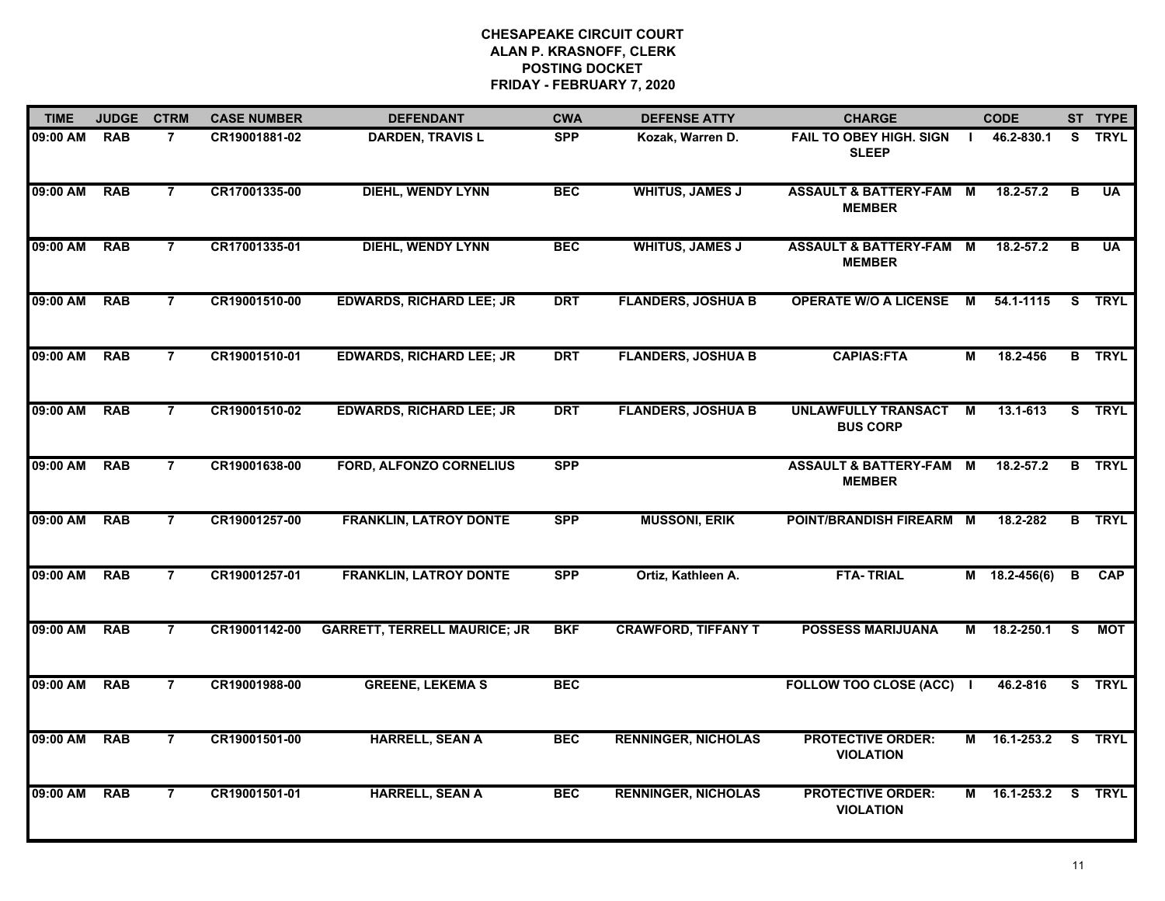| <b>TIME</b> | <b>JUDGE</b> | <b>CTRM</b>    | <b>CASE NUMBER</b> | <b>DEFENDANT</b>                    | <b>CWA</b> | <b>DEFENSE ATTY</b>        | <b>CHARGE</b>                                       |                | <b>CODE</b>     |    | ST TYPE       |
|-------------|--------------|----------------|--------------------|-------------------------------------|------------|----------------------------|-----------------------------------------------------|----------------|-----------------|----|---------------|
| 09:00 AM    | <b>RAB</b>   | $\overline{7}$ | CR19001881-02      | <b>DARDEN, TRAVIS L</b>             | <b>SPP</b> | Kozak, Warren D.           | <b>FAIL TO OBEY HIGH. SIGN</b><br><b>SLEEP</b>      |                | 46.2-830.1      | S. | <b>TRYL</b>   |
| 09:00 AM    | <b>RAB</b>   | $\overline{7}$ | CR17001335-00      | <b>DIEHL, WENDY LYNN</b>            | <b>BEC</b> | <b>WHITUS, JAMES J</b>     | <b>ASSAULT &amp; BATTERY-FAM</b><br><b>MEMBER</b>   | M              | $18.2 - 57.2$   | B  | <b>UA</b>     |
| 09:00 AM    | <b>RAB</b>   | $\overline{7}$ | CR17001335-01      | <b>DIEHL, WENDY LYNN</b>            | <b>BEC</b> | <b>WHITUS, JAMES J</b>     | <b>ASSAULT &amp; BATTERY-FAM</b><br><b>MEMBER</b>   | М              | 18.2-57.2       | B  | <b>UA</b>     |
| 09:00 AM    | <b>RAB</b>   | $\overline{7}$ | CR19001510-00      | <b>EDWARDS, RICHARD LEE; JR</b>     | <b>DRT</b> | <b>FLANDERS, JOSHUA B</b>  | <b>OPERATE W/O A LICENSE</b>                        | <b>M</b>       | 54.1-1115       | S. | <b>TRYL</b>   |
| 09:00 AM    | <b>RAB</b>   | $\overline{7}$ | CR19001510-01      | <b>EDWARDS, RICHARD LEE; JR</b>     | <b>DRT</b> | <b>FLANDERS, JOSHUA B</b>  | <b>CAPIAS:FTA</b>                                   | М              | 18.2-456        |    | <b>B</b> TRYL |
| 09:00 AM    | <b>RAB</b>   | $\overline{7}$ | CR19001510-02      | <b>EDWARDS, RICHARD LEE; JR</b>     | <b>DRT</b> | <b>FLANDERS, JOSHUA B</b>  | UNLAWFULLY TRANSACT<br><b>BUS CORP</b>              | M              | 13.1-613        |    | S TRYL        |
| 09:00 AM    | <b>RAB</b>   | $\overline{7}$ | CR19001638-00      | <b>FORD, ALFONZO CORNELIUS</b>      | <b>SPP</b> |                            | <b>ASSAULT &amp; BATTERY-FAM M</b><br><b>MEMBER</b> |                | 18.2-57.2       |    | <b>B</b> TRYL |
| 09:00 AM    | <b>RAB</b>   | $\overline{7}$ | CR19001257-00      | <b>FRANKLIN, LATROY DONTE</b>       | <b>SPP</b> | <b>MUSSONI, ERIK</b>       | POINT/BRANDISH FIREARM M                            |                | 18.2-282        |    | <b>B</b> TRYL |
| 09:00 AM    | <b>RAB</b>   | $\overline{7}$ | CR19001257-01      | <b>FRANKLIN, LATROY DONTE</b>       | <b>SPP</b> | Ortiz, Kathleen A.         | <b>FTA-TRIAL</b>                                    | M              | $18.2 - 456(6)$ | B  | <b>CAP</b>    |
| 09:00 AM    | <b>RAB</b>   | $\overline{7}$ | CR19001142-00      | <b>GARRETT, TERRELL MAURICE; JR</b> | <b>BKF</b> | <b>CRAWFORD, TIFFANY T</b> | <b>POSSESS MARIJUANA</b>                            | М              | 18.2-250.1      | S. | <b>MOT</b>    |
| 09:00 AM    | <b>RAB</b>   | 7              | CR19001988-00      | <b>GREENE, LEKEMA S</b>             | <b>BEC</b> |                            | <b>FOLLOW TOO CLOSE (ACC)</b>                       | $\mathbf{I}$   | 46.2-816        |    | S TRYL        |
| 09:00 AM    | <b>RAB</b>   | $\overline{7}$ | CR19001501-00      | <b>HARRELL, SEAN A</b>              | <b>BEC</b> | <b>RENNINGER, NICHOLAS</b> | <b>PROTECTIVE ORDER:</b><br><b>VIOLATION</b>        | $\overline{M}$ | 16.1-253.2      | s  | <b>TRYL</b>   |
| 09:00 AM    | <b>RAB</b>   | $\overline{7}$ | CR19001501-01      | <b>HARRELL, SEAN A</b>              | <b>BEC</b> | <b>RENNINGER, NICHOLAS</b> | <b>PROTECTIVE ORDER:</b><br><b>VIOLATION</b>        |                | M 16.1-253.2    |    | S TRYL        |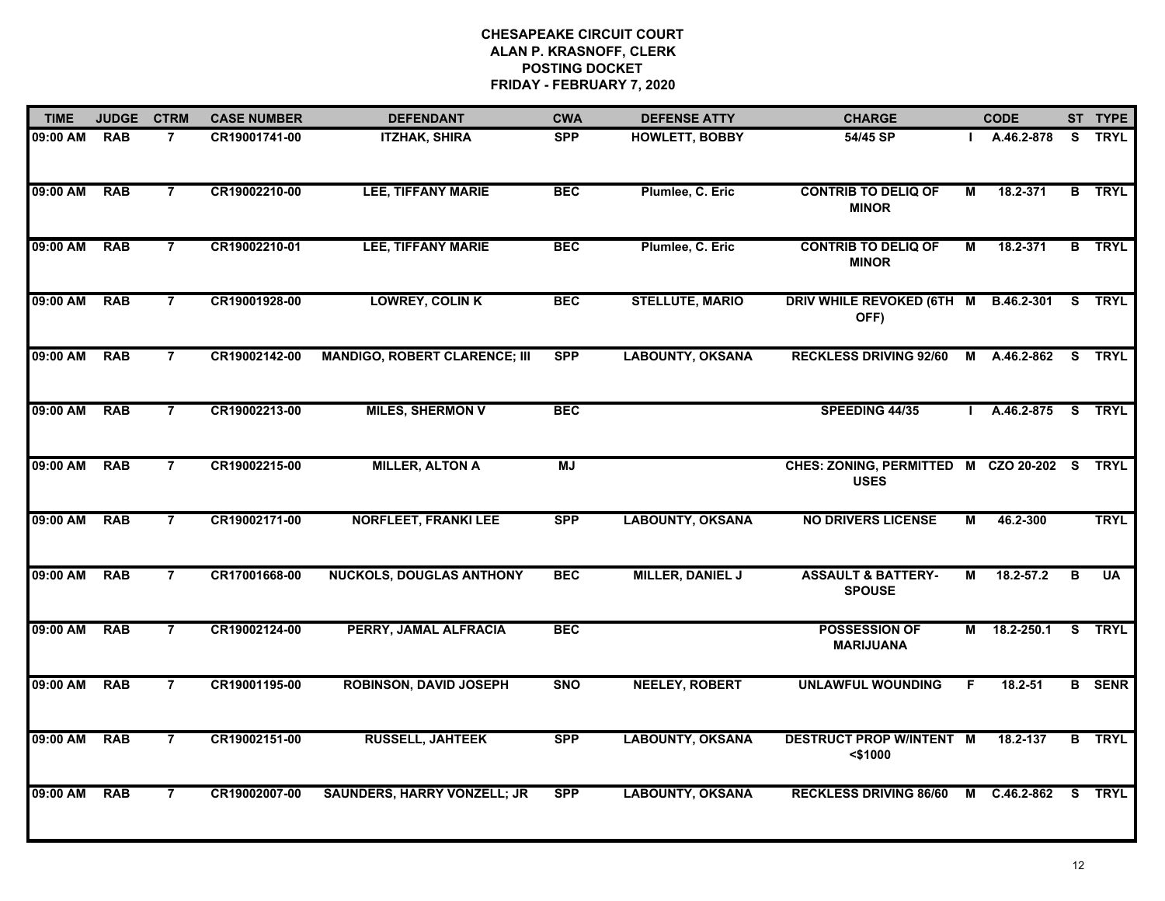| <b>TIME</b> | <b>JUDGE</b> | <b>CTRM</b>    | <b>CASE NUMBER</b> | <b>DEFENDANT</b>                     | <b>CWA</b> | <b>DEFENSE ATTY</b>     | <b>CHARGE</b>                                         |   | <b>CODE</b>       |    | ST TYPE       |
|-------------|--------------|----------------|--------------------|--------------------------------------|------------|-------------------------|-------------------------------------------------------|---|-------------------|----|---------------|
| 09:00 AM    | <b>RAB</b>   | $\overline{7}$ | CR19001741-00      | <b>ITZHAK, SHIRA</b>                 | <b>SPP</b> | <b>HOWLETT, BOBBY</b>   | 54/45 SP                                              |   | A.46.2-878        | S. | <b>TRYL</b>   |
| 09:00 AM    | <b>RAB</b>   | $\overline{7}$ | CR19002210-00      | <b>LEE, TIFFANY MARIE</b>            | <b>BEC</b> | Plumlee, C. Eric        | <b>CONTRIB TO DELIQ OF</b><br><b>MINOR</b>            | М | 18.2-371          |    | <b>B</b> TRYL |
| 09:00 AM    | <b>RAB</b>   | $\overline{7}$ | CR19002210-01      | <b>LEE, TIFFANY MARIE</b>            | <b>BEC</b> | Plumlee, C. Eric        | <b>CONTRIB TO DELIQ OF</b><br><b>MINOR</b>            | М | 18.2-371          |    | <b>B</b> TRYL |
| 09:00 AM    | <b>RAB</b>   | $\overline{7}$ | CR19001928-00      | <b>LOWREY, COLIN K</b>               | <b>BEC</b> | <b>STELLUTE, MARIO</b>  | DRIV WHILE REVOKED (6TH M B.46.2-301<br>OFF)          |   |                   |    | S TRYL        |
| 09:00 AM    | <b>RAB</b>   | $\overline{7}$ | CR19002142-00      | <b>MANDIGO, ROBERT CLARENCE; III</b> | <b>SPP</b> | <b>LABOUNTY, OKSANA</b> | <b>RECKLESS DRIVING 92/60</b>                         |   | M A.46.2-862      |    | S TRYL        |
| 09:00 AM    | <b>RAB</b>   | $\overline{7}$ | CR19002213-00      | <b>MILES, SHERMON V</b>              | <b>BEC</b> |                         | SPEEDING 44/35                                        |   | A.46.2-875 S TRYL |    |               |
| 09:00 AM    | <b>RAB</b>   | $\overline{7}$ | CR19002215-00      | <b>MILLER, ALTON A</b>               | <b>MJ</b>  |                         | CHES: ZONING, PERMITTED M CZO 20-202 S<br><b>USES</b> |   |                   |    | <b>TRYL</b>   |
| 09:00 AM    | <b>RAB</b>   | $\overline{7}$ | CR19002171-00      | <b>NORFLEET, FRANKI LEE</b>          | <b>SPP</b> | <b>LABOUNTY, OKSANA</b> | <b>NO DRIVERS LICENSE</b>                             | М | 46.2-300          |    | <b>TRYL</b>   |
| 09:00 AM    | <b>RAB</b>   | $\overline{7}$ | CR17001668-00      | <b>NUCKOLS, DOUGLAS ANTHONY</b>      | <b>BEC</b> | <b>MILLER, DANIEL J</b> | <b>ASSAULT &amp; BATTERY-</b><br><b>SPOUSE</b>        | М | $18.2 - 57.2$     | B  | <b>UA</b>     |
| 09:00 AM    | <b>RAB</b>   | $\overline{7}$ | CR19002124-00      | PERRY, JAMAL ALFRACIA                | <b>BEC</b> |                         | <b>POSSESSION OF</b><br><b>MARIJUANA</b>              |   | M 18.2-250.1      |    | S TRYL        |
| 09:00 AM    | <b>RAB</b>   | $\overline{7}$ | CR19001195-00      | <b>ROBINSON, DAVID JOSEPH</b>        | <b>SNO</b> | <b>NEELEY, ROBERT</b>   | <b>UNLAWFUL WOUNDING</b>                              |   | $18.2 - 51$       |    | <b>B</b> SENR |
| 09:00 AM    | <b>RAB</b>   | $\overline{7}$ | CR19002151-00      | <b>RUSSELL, JAHTEEK</b>              | <b>SPP</b> | <b>LABOUNTY, OKSANA</b> | <b>DESTRUCT PROP W/INTENT M</b><br>$<$ \$1000         |   | 18.2-137          |    | <b>B</b> TRYL |
| 09:00 AM    | <b>RAB</b>   | $\overline{7}$ | CR19002007-00      | <b>SAUNDERS, HARRY VONZELL; JR</b>   | <b>SPP</b> | <b>LABOUNTY, OKSANA</b> | <b>RECKLESS DRIVING 86/60</b>                         | М | C.46.2-862        |    | S TRYL        |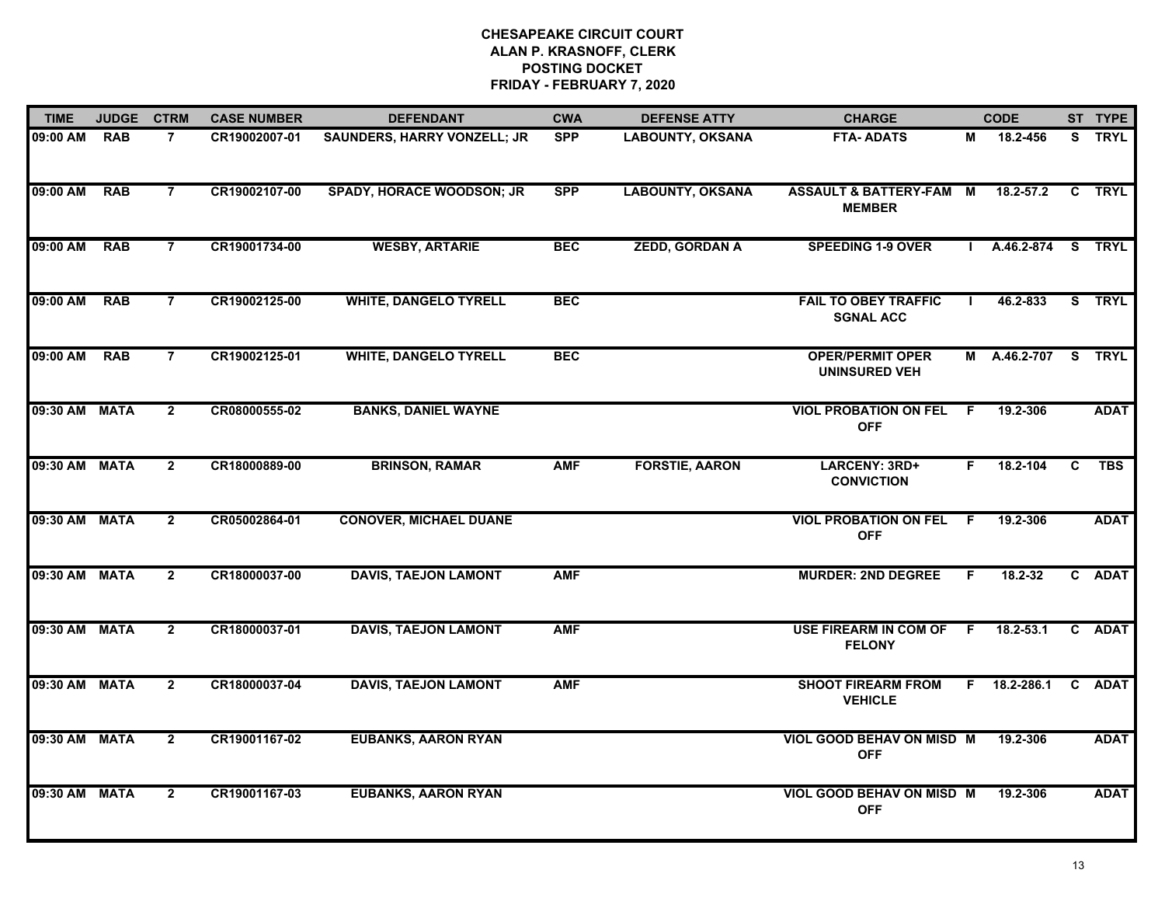| <b>TIME</b>   | <b>JUDGE</b> | <b>CTRM</b>    | <b>CASE NUMBER</b> | <b>DEFENDANT</b>                   | <b>CWA</b> | <b>DEFENSE ATTY</b>     | <b>CHARGE</b>                                       |     | <b>CODE</b>   |              | ST TYPE     |
|---------------|--------------|----------------|--------------------|------------------------------------|------------|-------------------------|-----------------------------------------------------|-----|---------------|--------------|-------------|
| 09:00 AM      | <b>RAB</b>   | $\overline{7}$ | CR19002007-01      | <b>SAUNDERS, HARRY VONZELL; JR</b> | <b>SPP</b> | <b>LABOUNTY, OKSANA</b> | <b>FTA-ADATS</b>                                    | М   | 18.2-456      |              | S TRYL      |
| 09:00 AM      | <b>RAB</b>   | $\overline{7}$ | CR19002107-00      | <b>SPADY, HORACE WOODSON; JR</b>   | <b>SPP</b> | <b>LABOUNTY, OKSANA</b> | <b>ASSAULT &amp; BATTERY-FAM M</b><br><b>MEMBER</b> |     | $18.2 - 57.2$ |              | C TRYL      |
| 09:00 AM      | <b>RAB</b>   | $\overline{7}$ | CR19001734-00      | <b>WESBY, ARTARIE</b>              | <b>BEC</b> | <b>ZEDD, GORDAN A</b>   | <b>SPEEDING 1-9 OVER</b>                            |     | A.46.2-874    |              | S TRYL      |
| 09:00 AM      | <b>RAB</b>   | $\overline{7}$ | CR19002125-00      | <b>WHITE, DANGELO TYRELL</b>       | <b>BEC</b> |                         | <b>FAIL TO OBEY TRAFFIC</b><br><b>SGNAL ACC</b>     |     | 46.2-833      |              | S TRYL      |
| 09:00 AM      | <b>RAB</b>   | $\overline{7}$ | CR19002125-01      | <b>WHITE, DANGELO TYRELL</b>       | <b>BEC</b> |                         | <b>OPER/PERMIT OPER</b><br><b>UNINSURED VEH</b>     |     | M A.46.2-707  |              | S TRYL      |
| 09:30 AM MATA |              | $\mathbf{2}$   | CR08000555-02      | <b>BANKS, DANIEL WAYNE</b>         |            |                         | <b>VIOL PROBATION ON FEL</b><br><b>OFF</b>          | -F. | 19.2-306      |              | <b>ADAT</b> |
| 09:30 AM MATA |              | $\mathbf{2}$   | CR18000889-00      | <b>BRINSON, RAMAR</b>              | <b>AMF</b> | <b>FORSTIE, AARON</b>   | LARCENY: 3RD+<br><b>CONVICTION</b>                  | F.  | 18.2-104      | C            | <b>TBS</b>  |
| 09:30 AM MATA |              | $\overline{2}$ | CR05002864-01      | <b>CONOVER, MICHAEL DUANE</b>      |            |                         | <b>VIOL PROBATION ON FEL</b><br><b>OFF</b>          | F.  | 19.2-306      |              | <b>ADAT</b> |
| 09:30 AM MATA |              | $\mathbf{2}$   | CR18000037-00      | <b>DAVIS, TAEJON LAMONT</b>        | <b>AMF</b> |                         | <b>MURDER: 2ND DEGREE</b>                           | E   | 18.2-32       |              | C ADAT      |
| 09:30 AM MATA |              | $\mathbf{2}$   | CR18000037-01      | <b>DAVIS, TAEJON LAMONT</b>        | <b>AMF</b> |                         | <b>USE FIREARM IN COM OF</b><br><b>FELONY</b>       | - F | $18.2 - 53.1$ |              | C ADAT      |
| 09:30 AM MATA |              | $\overline{2}$ | CR18000037-04      | <b>DAVIS, TAEJON LAMONT</b>        | <b>AMF</b> |                         | <b>SHOOT FIREARM FROM</b><br><b>VEHICLE</b>         | F.  | 18.2-286.1    | $\mathbf{c}$ | <b>ADAT</b> |
| 09:30 AM MATA |              | $\overline{2}$ | CR19001167-02      | <b>EUBANKS, AARON RYAN</b>         |            |                         | VIOL GOOD BEHAV ON MISD M<br><b>OFF</b>             |     | 19.2-306      |              | <b>ADAT</b> |
| 09:30 AM MATA |              | $\mathbf{2}$   | CR19001167-03      | <b>EUBANKS, AARON RYAN</b>         |            |                         | VIOL GOOD BEHAV ON MISD M<br><b>OFF</b>             |     | 19.2-306      |              | <b>ADAT</b> |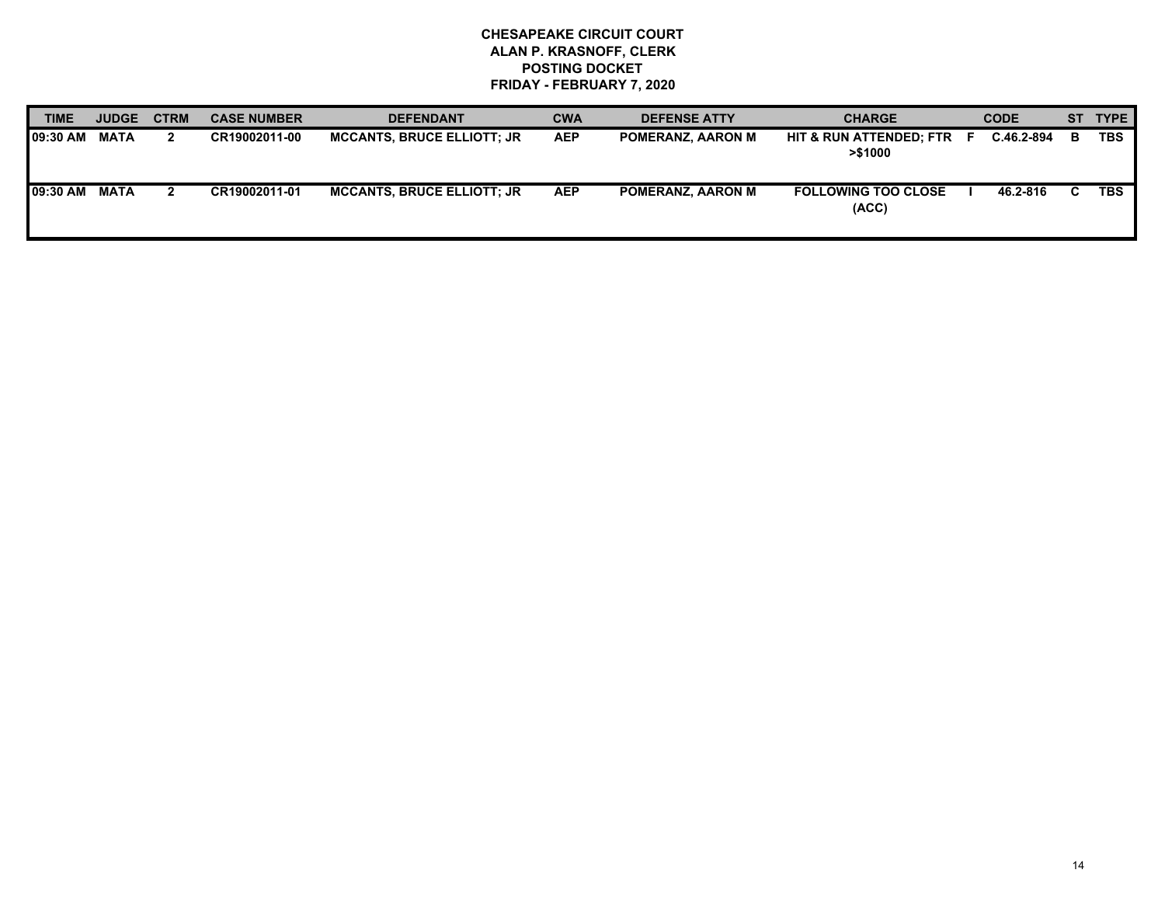| <b>TIME</b>      | <b>JUDGE</b> | <b>CTRM</b> | <b>CASE NUMBER</b> | <b>DEFENDANT</b>                  | <b>CWA</b> | <b>DEFENSE ATTY</b>      | <b>CHARGE</b>                                 | <b>CODE</b> |    | ST TYPE    |
|------------------|--------------|-------------|--------------------|-----------------------------------|------------|--------------------------|-----------------------------------------------|-------------|----|------------|
| <b>109:30 AM</b> | <b>MATA</b>  | 2           | CR19002011-00      | <b>MCCANTS, BRUCE ELLIOTT: JR</b> | <b>AEP</b> | <b>POMERANZ, AARON M</b> | <b>HIT &amp; RUN ATTENDED: FTR</b><br>>\$1000 | C.46.2-894  | в  | <b>TBS</b> |
| <b>109:30 AM</b> | MATA         |             | CR19002011-01      | <b>MCCANTS, BRUCE ELLIOTT: JR</b> | <b>AEP</b> | <b>POMERANZ, AARON M</b> | <b>FOLLOWING TOO CLOSE</b><br>(ACC)           | 46.2-816    | C. | <b>TBS</b> |